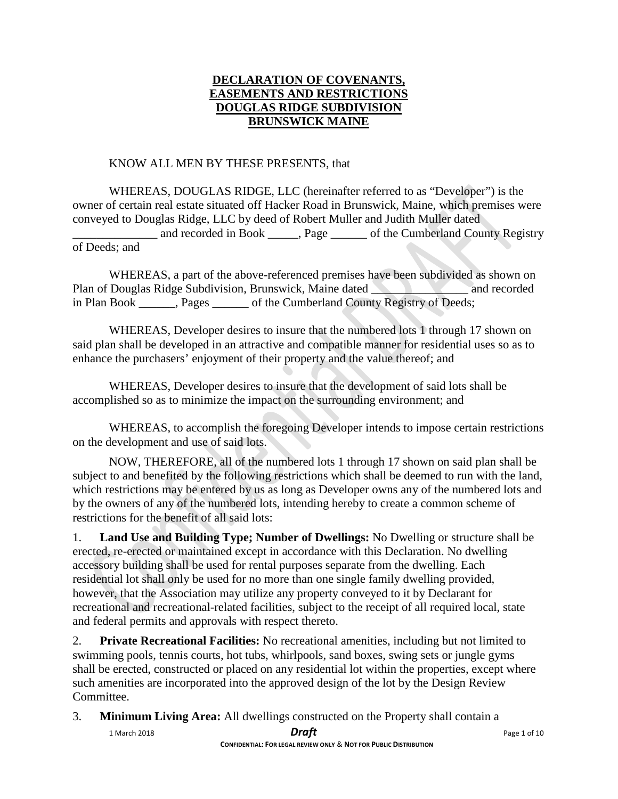# **DECLARATION OF COVENANTS, EASEMENTS AND RESTRICTIONS DOUGLAS RIDGE SUBDIVISION BRUNSWICK MAINE**

### KNOW ALL MEN BY THESE PRESENTS, that

WHEREAS, DOUGLAS RIDGE, LLC (hereinafter referred to as "Developer") is the owner of certain real estate situated off Hacker Road in Brunswick, Maine, which premises were conveyed to Douglas Ridge, LLC by deed of Robert Muller and Judith Muller dated and recorded in Book Registry Registry County Registry

### of Deeds; and

WHEREAS, a part of the above-referenced premises have been subdivided as shown on Plan of Douglas Ridge Subdivision, Brunswick, Maine dated and recorded and recorded in Plan Book Pages of the Cumberland County Registry of Deeds;

WHEREAS, Developer desires to insure that the numbered lots 1 through 17 shown on said plan shall be developed in an attractive and compatible manner for residential uses so as to enhance the purchasers' enjoyment of their property and the value thereof; and

WHEREAS, Developer desires to insure that the development of said lots shall be accomplished so as to minimize the impact on the surrounding environment; and

WHEREAS, to accomplish the foregoing Developer intends to impose certain restrictions on the development and use of said lots.

NOW, THEREFORE, all of the numbered lots 1 through 17 shown on said plan shall be subject to and benefited by the following restrictions which shall be deemed to run with the land, which restrictions may be entered by us as long as Developer owns any of the numbered lots and by the owners of any of the numbered lots, intending hereby to create a common scheme of restrictions for the benefit of all said lots:

1. **Land Use and Building Type; Number of Dwellings:** No Dwelling or structure shall be erected, re-erected or maintained except in accordance with this Declaration. No dwelling accessory building shall be used for rental purposes separate from the dwelling. Each residential lot shall only be used for no more than one single family dwelling provided, however, that the Association may utilize any property conveyed to it by Declarant for recreational and recreational-related facilities, subject to the receipt of all required local, state and federal permits and approvals with respect thereto.

2. **Private Recreational Facilities:** No recreational amenities, including but not limited to swimming pools, tennis courts, hot tubs, whirlpools, sand boxes, swing sets or jungle gyms shall be erected, constructed or placed on any residential lot within the properties, except where such amenities are incorporated into the approved design of the lot by the Design Review Committee.

3. **Minimum Living Area:** All dwellings constructed on the Property shall contain a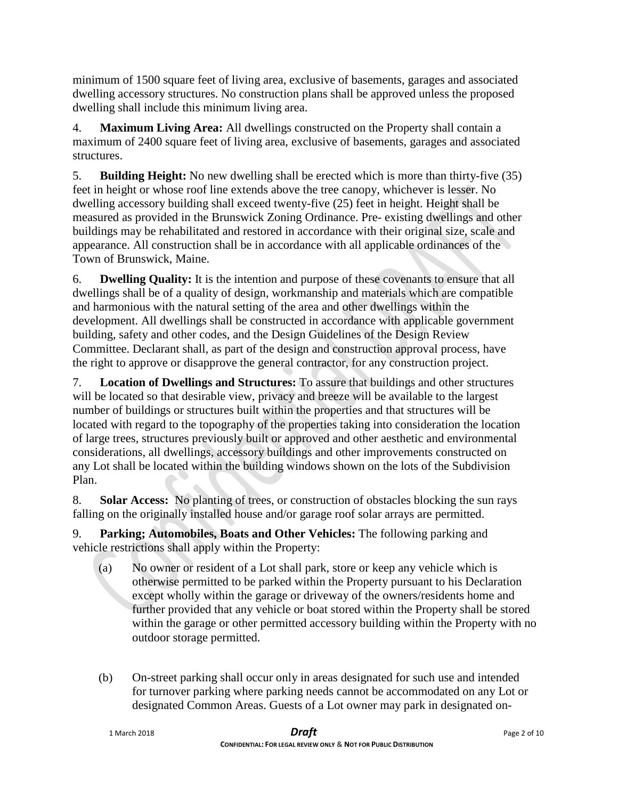minimum of 1500 square feet of living area, exclusive of basements, garages and associated dwelling accessory structures. No construction plans shall be approved unless the proposed dwelling shall include this minimum living area.

4. **Maximum Living Area:** All dwellings constructed on the Property shall contain a maximum of 2400 square feet of living area, exclusive of basements, garages and associated structures.

5. **Building Height:** No new dwelling shall be erected which is more than thirty-five (35) feet in height or whose roof line extends above the tree canopy, whichever is lesser. No dwelling accessory building shall exceed twenty-five (25) feet in height. Height shall be measured as provided in the Brunswick Zoning Ordinance. Pre- existing dwellings and other buildings may be rehabilitated and restored in accordance with their original size, scale and appearance. All construction shall be in accordance with all applicable ordinances of the Town of Brunswick, Maine.

6. **Dwelling Quality:** It is the intention and purpose of these covenants to ensure that all dwellings shall be of a quality of design, workmanship and materials which are compatible and harmonious with the natural setting of the area and other dwellings within the development. All dwellings shall be constructed in accordance with applicable government building, safety and other codes, and the Design Guidelines of the Design Review Committee. Declarant shall, as part of the design and construction approval process, have the right to approve or disapprove the general contractor, for any construction project.

7. **Location of Dwellings and Structures:** To assure that buildings and other structures will be located so that desirable view, privacy and breeze will be available to the largest number of buildings or structures built within the properties and that structures will be located with regard to the topography of the properties taking into consideration the location of large trees, structures previously built or approved and other aesthetic and environmental considerations, all dwellings, accessory buildings and other improvements constructed on any Lot shall be located within the building windows shown on the lots of the Subdivision Plan.

8. **Solar Access:** No planting of trees, or construction of obstacles blocking the sun rays falling on the originally installed house and/or garage roof solar arrays are permitted.

9. **Parking; Automobiles, Boats and Other Vehicles:** The following parking and vehicle restrictions shall apply within the Property:

- (a) No owner or resident of a Lot shall park, store or keep any vehicle which is otherwise permitted to be parked within the Property pursuant to his Declaration except wholly within the garage or driveway of the owners/residents home and further provided that any vehicle or boat stored within the Property shall be stored within the garage or other permitted accessory building within the Property with no outdoor storage permitted.
- (b) On-street parking shall occur only in areas designated for such use and intended for turnover parking where parking needs cannot be accommodated on any Lot or designated Common Areas. Guests of a Lot owner may park in designated on-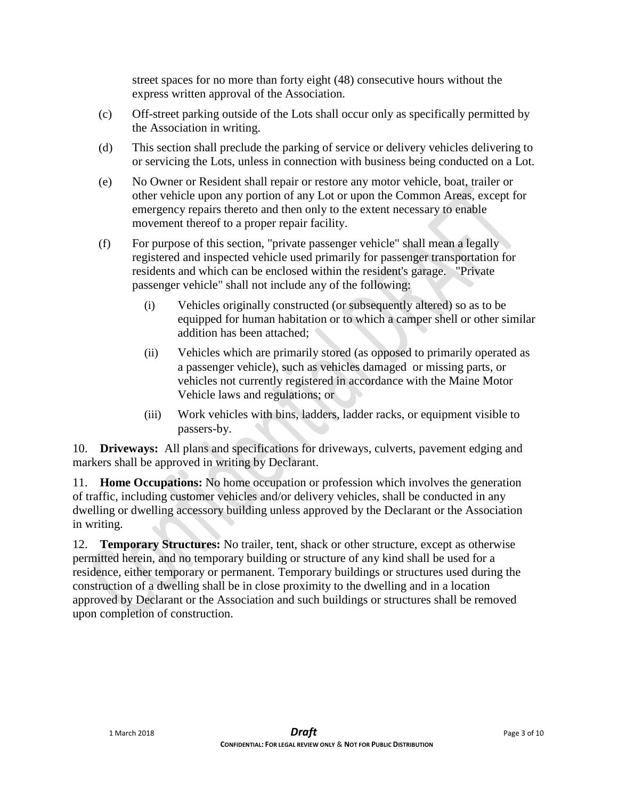street spaces for no more than forty eight (48) consecutive hours without the express written approval of the Association.

- (c) Off-street parking outside of the Lots shall occur only as specifically permitted by the Association in writing.
- (d) This section shall preclude the parking of service or delivery vehicles delivering to or servicing the Lots, unless in connection with business being conducted on a Lot.
- (e) No Owner or Resident shall repair or restore any motor vehicle, boat, trailer or other vehicle upon any portion of any Lot or upon the Common Areas, except for emergency repairs thereto and then only to the extent necessary to enable movement thereof to a proper repair facility.
- (f) For purpose of this section, "private passenger vehicle" shall mean a legally registered and inspected vehicle used primarily for passenger transportation for residents and which can be enclosed within the resident's garage. "Private passenger vehicle" shall not include any of the following:
	- (i) Vehicles originally constructed (or subsequently altered) so as to be equipped for human habitation or to which a camper shell or other similar addition has been attached;
	- (ii) Vehicles which are primarily stored (as opposed to primarily operated as a passenger vehicle), such as vehicles damaged or missing parts, or vehicles not currently registered in accordance with the Maine Motor Vehicle laws and regulations; or
	- (iii) Work vehicles with bins, ladders, ladder racks, or equipment visible to passers-by.

10. **Driveways:** All plans and specifications for driveways, culverts, pavement edging and markers shall be approved in writing by Declarant.

11. **Home Occupations:** No home occupation or profession which involves the generation of traffic, including customer vehicles and/or delivery vehicles, shall be conducted in any dwelling or dwelling accessory building unless approved by the Declarant or the Association in writing.

12. **Temporary Structures:** No trailer, tent, shack or other structure, except as otherwise permitted herein, and no temporary building or structure of any kind shall be used for a residence, either temporary or permanent. Temporary buildings or structures used during the construction of a dwelling shall be in close proximity to the dwelling and in a location approved by Declarant or the Association and such buildings or structures shall be removed upon completion of construction.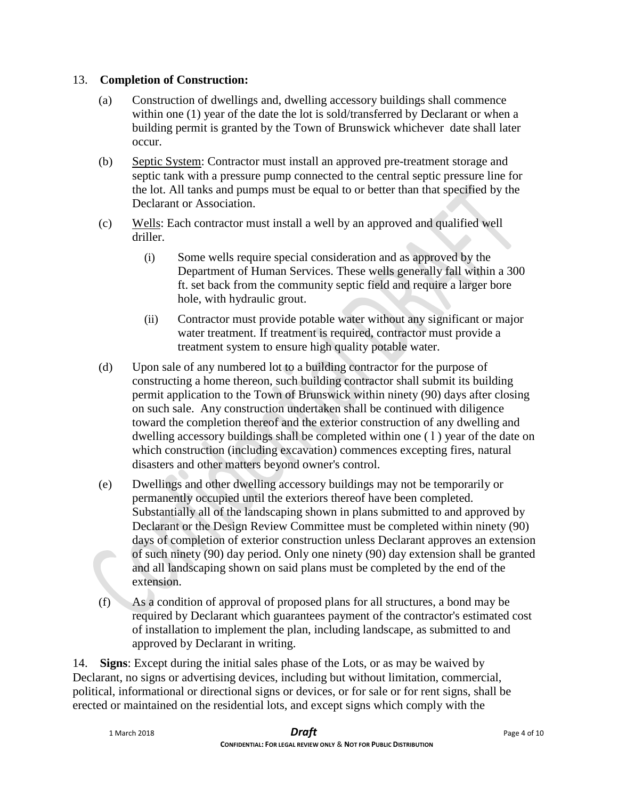# 13. **Completion of Construction:**

- (a) Construction of dwellings and, dwelling accessory buildings shall commence within one (1) year of the date the lot is sold/transferred by Declarant or when a building permit is granted by the Town of Brunswick whichever date shall later occur.
- (b) Septic System: Contractor must install an approved pre-treatment storage and septic tank with a pressure pump connected to the central septic pressure line for the lot. All tanks and pumps must be equal to or better than that specified by the Declarant or Association.
- (c) Wells: Each contractor must install a well by an approved and qualified well driller.
	- (i) Some wells require special consideration and as approved by the Department of Human Services. These wells generally fall within a 300 ft. set back from the community septic field and require a larger bore hole, with hydraulic grout.
	- (ii) Contractor must provide potable water without any significant or major water treatment. If treatment is required, contractor must provide a treatment system to ensure high quality potable water.
- (d) Upon sale of any numbered lot to a building contractor for the purpose of constructing a home thereon, such building contractor shall submit its building permit application to the Town of Brunswick within ninety (90) days after closing on such sale. Any construction undertaken shall be continued with diligence toward the completion thereof and the exterior construction of any dwelling and dwelling accessory buildings shall be completed within one ( l ) year of the date on which construction (including excavation) commences excepting fires, natural disasters and other matters beyond owner's control.
- (e) Dwellings and other dwelling accessory buildings may not be temporarily or permanently occupied until the exteriors thereof have been completed. Substantially all of the landscaping shown in plans submitted to and approved by Declarant or the Design Review Committee must be completed within ninety (90) days of completion of exterior construction unless Declarant approves an extension of such ninety (90) day period. Only one ninety (90) day extension shall be granted and all landscaping shown on said plans must be completed by the end of the extension.
- (f) As a condition of approval of proposed plans for all structures, a bond may be required by Declarant which guarantees payment of the contractor's estimated cost of installation to implement the plan, including landscape, as submitted to and approved by Declarant in writing.

14. **Signs**: Except during the initial sales phase of the Lots, or as may be waived by Declarant, no signs or advertising devices, including but without limitation, commercial, political, informational or directional signs or devices, or for sale or for rent signs, shall be erected or maintained on the residential lots, and except signs which comply with the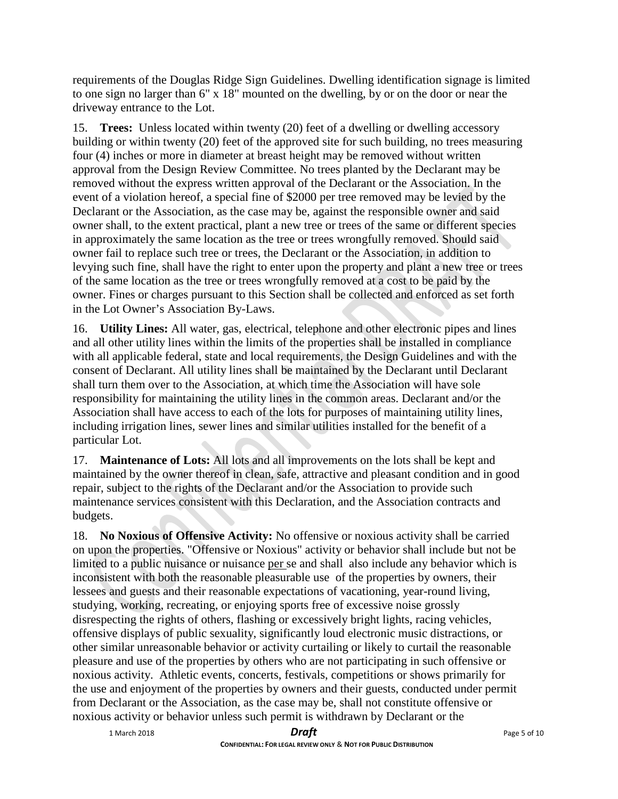requirements of the Douglas Ridge Sign Guidelines. Dwelling identification signage is limited to one sign no larger than 6" x 18" mounted on the dwelling, by or on the door or near the driveway entrance to the Lot.

15. **Trees:** Unless located within twenty (20) feet of a dwelling or dwelling accessory building or within twenty (20) feet of the approved site for such building, no trees measuring four (4) inches or more in diameter at breast height may be removed without written approval from the Design Review Committee. No trees planted by the Declarant may be removed without the express written approval of the Declarant or the Association. In the event of a violation hereof, a special fine of \$2000 per tree removed may be levied by the Declarant or the Association, as the case may be, against the responsible owner and said owner shall, to the extent practical, plant a new tree or trees of the same or different species in approximately the same location as the tree or trees wrongfully removed. Should said owner fail to replace such tree or trees, the Declarant or the Association, in addition to levying such fine, shall have the right to enter upon the property and plant a new tree or trees of the same location as the tree or trees wrongfully removed at a cost to be paid by the owner. Fines or charges pursuant to this Section shall be collected and enforced as set forth in the Lot Owner's Association By-Laws.

16. **Utility Lines:** All water, gas, electrical, telephone and other electronic pipes and lines and all other utility lines within the limits of the properties shall be installed in compliance with all applicable federal, state and local requirements, the Design Guidelines and with the consent of Declarant. All utility lines shall be maintained by the Declarant until Declarant shall turn them over to the Association, at which time the Association will have sole responsibility for maintaining the utility lines in the common areas. Declarant and/or the Association shall have access to each of the lots for purposes of maintaining utility lines, including irrigation lines, sewer lines and similar utilities installed for the benefit of a particular Lot.

17. **Maintenance of Lots:** All lots and all improvements on the lots shall be kept and maintained by the owner thereof in clean, safe, attractive and pleasant condition and in good repair, subject to the rights of the Declarant and/or the Association to provide such maintenance services consistent with this Declaration, and the Association contracts and budgets.

18. **No Noxious of Offensive Activity:** No offensive or noxious activity shall be carried on upon the properties. "Offensive or Noxious" activity or behavior shall include but not be limited to a public nuisance or nuisance per se and shall also include any behavior which is inconsistent with both the reasonable pleasurable use of the properties by owners, their lessees and guests and their reasonable expectations of vacationing, year-round living, studying, working, recreating, or enjoying sports free of excessive noise grossly disrespecting the rights of others, flashing or excessively bright lights, racing vehicles, offensive displays of public sexuality, significantly loud electronic music distractions, or other similar unreasonable behavior or activity curtailing or likely to curtail the reasonable pleasure and use of the properties by others who are not participating in such offensive or noxious activity. Athletic events, concerts, festivals, competitions or shows primarily for the use and enjoyment of the properties by owners and their guests, conducted under permit from Declarant or the Association, as the case may be, shall not constitute offensive or noxious activity or behavior unless such permit is withdrawn by Declarant or the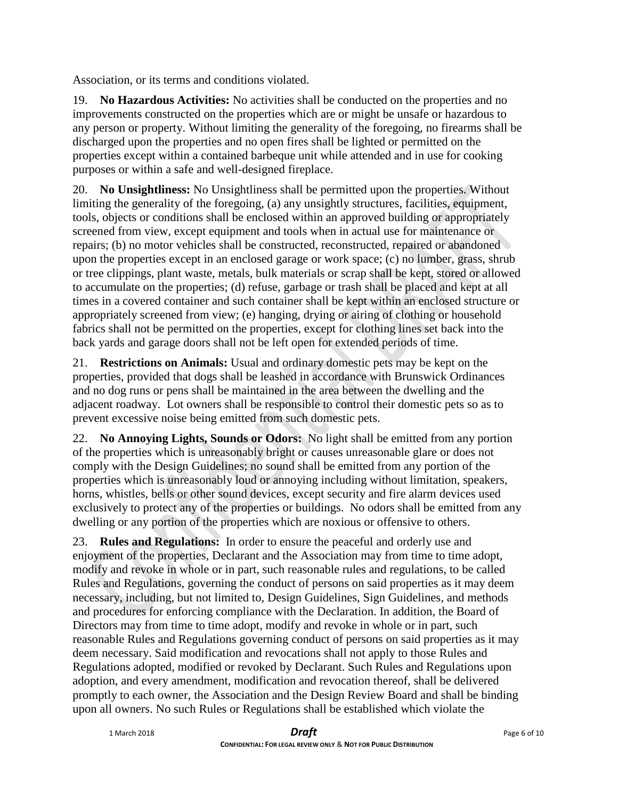Association, or its terms and conditions violated.

19. **No Hazardous Activities:** No activities shall be conducted on the properties and no improvements constructed on the properties which are or might be unsafe or hazardous to any person or property. Without limiting the generality of the foregoing, no firearms shall be discharged upon the properties and no open fires shall be lighted or permitted on the properties except within a contained barbeque unit while attended and in use for cooking purposes or within a safe and well-designed fireplace.

20. **No Unsightliness:** No Unsightliness shall be permitted upon the properties. Without limiting the generality of the foregoing, (a) any unsightly structures, facilities, equipment, tools, objects or conditions shall be enclosed within an approved building or appropriately screened from view, except equipment and tools when in actual use for maintenance or repairs; (b) no motor vehicles shall be constructed, reconstructed, repaired or abandoned upon the properties except in an enclosed garage or work space; (c) no lumber, grass, shrub or tree clippings, plant waste, metals, bulk materials or scrap shall be kept, stored or allowed to accumulate on the properties; (d) refuse, garbage or trash shall be placed and kept at all times in a covered container and such container shall be kept within an enclosed structure or appropriately screened from view; (e) hanging, drying or airing of clothing or household fabrics shall not be permitted on the properties, except for clothing lines set back into the back yards and garage doors shall not be left open for extended periods of time.

21. **Restrictions on Animals:** Usual and ordinary domestic pets may be kept on the properties, provided that dogs shall be leashed in accordance with Brunswick Ordinances and no dog runs or pens shall be maintained in the area between the dwelling and the adjacent roadway. Lot owners shall be responsible to control their domestic pets so as to prevent excessive noise being emitted from such domestic pets.

22. **No Annoying Lights, Sounds or Odors:** No light shall be emitted from any portion of the properties which is unreasonably bright or causes unreasonable glare or does not comply with the Design Guidelines; no sound shall be emitted from any portion of the properties which is unreasonably loud or annoying including without limitation, speakers, horns, whistles, bells or other sound devices, except security and fire alarm devices used exclusively to protect any of the properties or buildings. No odors shall be emitted from any dwelling or any portion of the properties which are noxious or offensive to others.

23. **Rules and Regulations:** In order to ensure the peaceful and orderly use and enjoyment of the properties, Declarant and the Association may from time to time adopt, modify and revoke in whole or in part, such reasonable rules and regulations, to be called Rules and Regulations, governing the conduct of persons on said properties as it may deem necessary, including, but not limited to, Design Guidelines, Sign Guidelines, and methods and procedures for enforcing compliance with the Declaration. In addition, the Board of Directors may from time to time adopt, modify and revoke in whole or in part, such reasonable Rules and Regulations governing conduct of persons on said properties as it may deem necessary. Said modification and revocations shall not apply to those Rules and Regulations adopted, modified or revoked by Declarant. Such Rules and Regulations upon adoption, and every amendment, modification and revocation thereof, shall be delivered promptly to each owner, the Association and the Design Review Board and shall be binding upon all owners. No such Rules or Regulations shall be established which violate the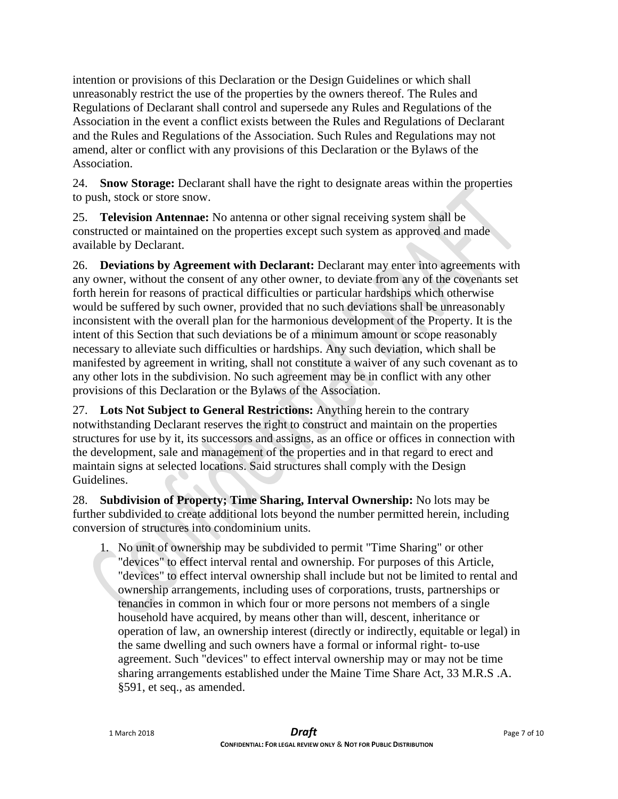intention or provisions of this Declaration or the Design Guidelines or which shall unreasonably restrict the use of the properties by the owners thereof. The Rules and Regulations of Declarant shall control and supersede any Rules and Regulations of the Association in the event a conflict exists between the Rules and Regulations of Declarant and the Rules and Regulations of the Association. Such Rules and Regulations may not amend, alter or conflict with any provisions of this Declaration or the Bylaws of the Association.

24. **Snow Storage:** Declarant shall have the right to designate areas within the properties to push, stock or store snow.

25. **Television Antennae:** No antenna or other signal receiving system shall be constructed or maintained on the properties except such system as approved and made available by Declarant.

26. **Deviations by Agreement with Declarant:** Declarant may enter into agreements with any owner, without the consent of any other owner, to deviate from any of the covenants set forth herein for reasons of practical difficulties or particular hardships which otherwise would be suffered by such owner, provided that no such deviations shall be unreasonably inconsistent with the overall plan for the harmonious development of the Property. It is the intent of this Section that such deviations be of a minimum amount or scope reasonably necessary to alleviate such difficulties or hardships. Any such deviation, which shall be manifested by agreement in writing, shall not constitute a waiver of any such covenant as to any other lots in the subdivision. No such agreement may be in conflict with any other provisions of this Declaration or the Bylaws of the Association.

27. **Lots Not Subject to General Restrictions:** Anything herein to the contrary notwithstanding Declarant reserves the right to construct and maintain on the properties structures for use by it, its successors and assigns, as an office or offices in connection with the development, sale and management of the properties and in that regard to erect and maintain signs at selected locations. Said structures shall comply with the Design Guidelines.

28. **Subdivision of Property; Time Sharing, Interval Ownership:** No lots may be further subdivided to create additional lots beyond the number permitted herein, including conversion of structures into condominium units.

1. No unit of ownership may be subdivided to permit "Time Sharing" or other "devices" to effect interval rental and ownership. For purposes of this Article, "devices" to effect interval ownership shall include but not be limited to rental and ownership arrangements, including uses of corporations, trusts, partnerships or tenancies in common in which four or more persons not members of a single household have acquired, by means other than will, descent, inheritance or operation of law, an ownership interest (directly or indirectly, equitable or legal) in the same dwelling and such owners have a formal or informal right- to-use agreement. Such "devices" to effect interval ownership may or may not be time sharing arrangements established under the Maine Time Share Act, 33 M.R.S .A. §591, et seq., as amended.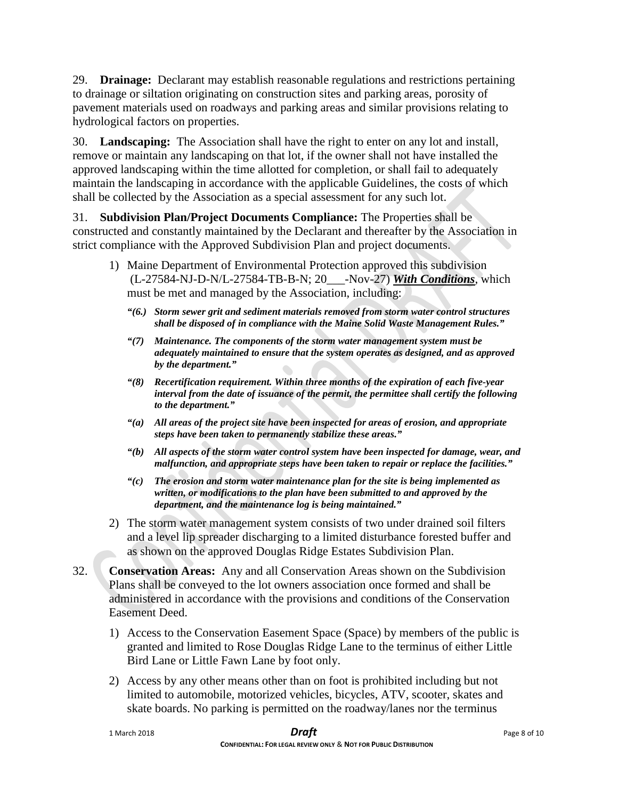29. **Drainage:** Declarant may establish reasonable regulations and restrictions pertaining to drainage or siltation originating on construction sites and parking areas, porosity of pavement materials used on roadways and parking areas and similar provisions relating to hydrological factors on properties.

30. **Landscaping:** The Association shall have the right to enter on any lot and install, remove or maintain any landscaping on that lot, if the owner shall not have installed the approved landscaping within the time allotted for completion, or shall fail to adequately maintain the landscaping in accordance with the applicable Guidelines, the costs of which shall be collected by the Association as a special assessment for any such lot.

31. **Subdivision Plan/Project Documents Compliance:** The Properties shall be constructed and constantly maintained by the Declarant and thereafter by the Association in strict compliance with the Approved Subdivision Plan and project documents.

- 1) Maine Department of Environmental Protection approved this subdivision (L-27584-NJ-D-N/L-27584-TB-B-N; 20\_\_\_-Nov-27) *With Conditions*, which must be met and managed by the Association, including:
	- *"(6.) Storm sewer grit and sediment materials removed from storm water control structures shall be disposed of in compliance with the Maine Solid Waste Management Rules."*
	- *"(7) Maintenance. The components of the storm water management system must be adequately maintained to ensure that the system operates as designed, and as approved by the department."*
	- *"(8) Recertification requirement. Within three months of the expiration of each five-year interval from the date of issuance of the permit, the permittee shall certify the following to the department."*
	- *"(a) All areas of the project site have been inspected for areas of erosion, and appropriate steps have been taken to permanently stabilize these areas."*
	- *"(b) All aspects of the storm water control system have been inspected for damage, wear, and malfunction, and appropriate steps have been taken to repair or replace the facilities."*
	- *"(c) The erosion and storm water maintenance plan for the site is being implemented as written, or modifications to the plan have been submitted to and approved by the department, and the maintenance log is being maintained."*
- 2) The storm water management system consists of two under drained soil filters and a level lip spreader discharging to a limited disturbance forested buffer and as shown on the approved Douglas Ridge Estates Subdivision Plan.
- 32. **Conservation Areas:** Any and all Conservation Areas shown on the Subdivision Plans shall be conveyed to the lot owners association once formed and shall be administered in accordance with the provisions and conditions of the Conservation Easement Deed.
	- 1) Access to the Conservation Easement Space (Space) by members of the public is granted and limited to Rose Douglas Ridge Lane to the terminus of either Little Bird Lane or Little Fawn Lane by foot only.
	- 2) Access by any other means other than on foot is prohibited including but not limited to automobile, motorized vehicles, bicycles, ATV, scooter, skates and skate boards. No parking is permitted on the roadway/lanes nor the terminus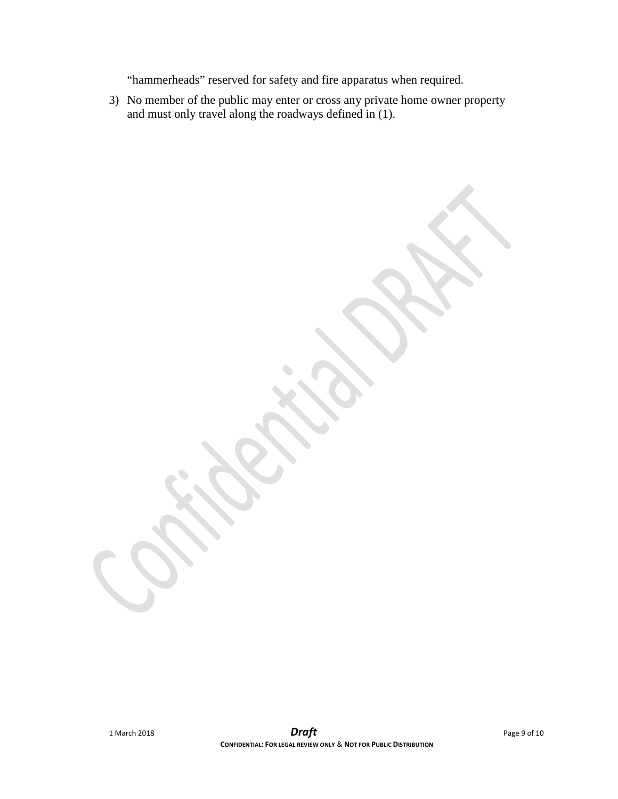"hammerheads" reserved for safety and fire apparatus when required.

3) No member of the public may enter or cross any private home owner property and must only travel along the roadways defined in (1).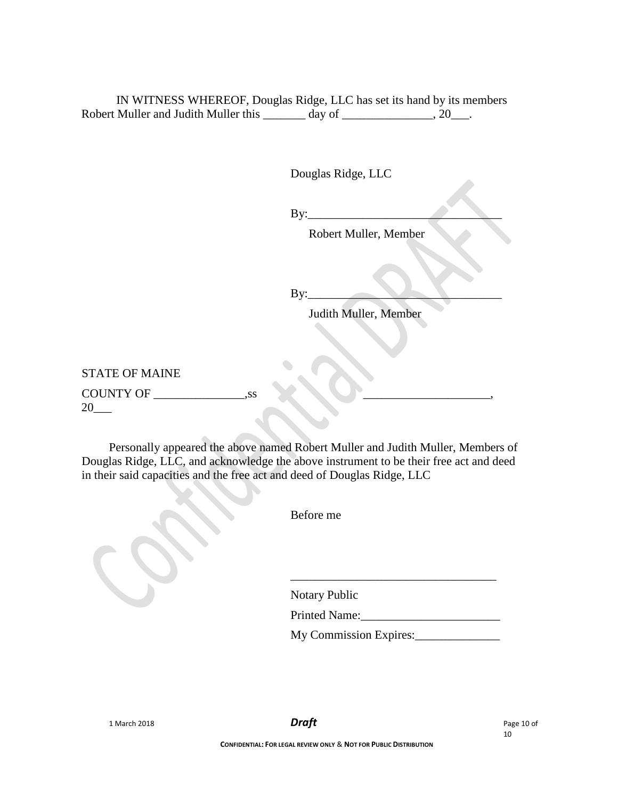IN WITNESS WHEREOF, Douglas Ridge, LLC has set its hand by its members Robert Muller and Judith Muller this \_\_\_\_\_\_\_ day of \_\_\_\_\_\_\_\_\_\_\_\_\_, 20\_\_\_.

Douglas Ridge, LLC

By:\_\_\_\_\_\_\_\_\_\_\_\_\_\_\_\_\_\_\_\_\_\_\_\_\_\_\_\_\_\_\_\_

Robert Muller, Member

 $By:$ 

Judith Muller, Member

STATE OF MAINE COUNTY OF 5.58 20\_\_\_

Personally appeared the above named Robert Muller and Judith Muller, Members of Douglas Ridge, LLC, and acknowledge the above instrument to be their free act and deed in their said capacities and the free act and deed of Douglas Ridge, LLC

Before me

Notary Public

Printed Name:\_\_\_\_\_\_\_\_\_\_\_\_\_\_\_\_\_\_\_\_\_\_\_

\_\_\_\_\_\_\_\_\_\_\_\_\_\_\_\_\_\_\_\_\_\_\_\_\_\_\_\_\_\_\_\_\_\_

My Commission Expires:\_\_\_\_\_\_\_\_\_\_\_\_\_\_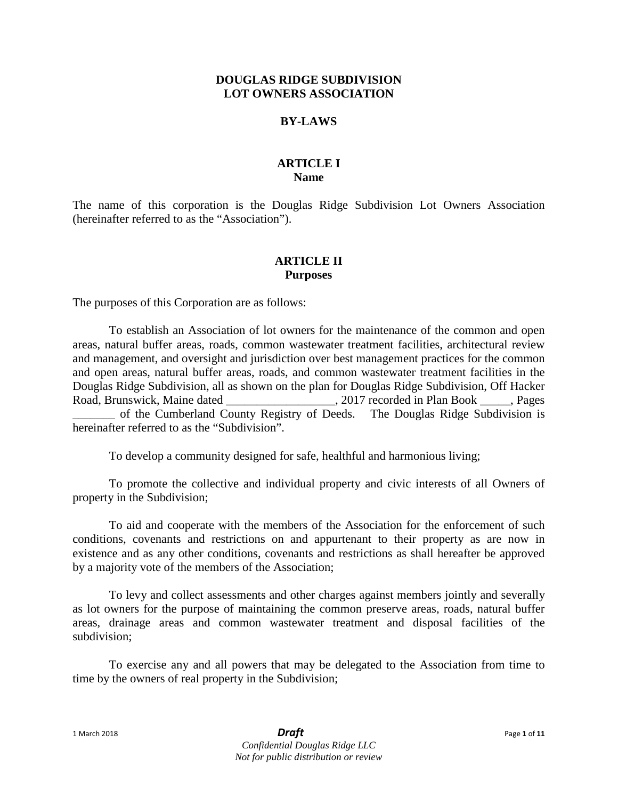### **DOUGLAS RIDGE SUBDIVISION LOT OWNERS ASSOCIATION**

### **BY-LAWS**

### **ARTICLE I Name**

The name of this corporation is the Douglas Ridge Subdivision Lot Owners Association (hereinafter referred to as the "Association").

### **ARTICLE II Purposes**

The purposes of this Corporation are as follows:

To establish an Association of lot owners for the maintenance of the common and open areas, natural buffer areas, roads, common wastewater treatment facilities, architectural review and management, and oversight and jurisdiction over best management practices for the common and open areas, natural buffer areas, roads, and common wastewater treatment facilities in the Douglas Ridge Subdivision, all as shown on the plan for Douglas Ridge Subdivision, Off Hacker Road, Brunswick, Maine dated  $\qquad \qquad$  . 2017 recorded in Plan Book  $\qquad$ , Pages of the Cumberland County Registry of Deeds. The Douglas Ridge Subdivision is hereinafter referred to as the "Subdivision".

To develop a community designed for safe, healthful and harmonious living;

To promote the collective and individual property and civic interests of all Owners of property in the Subdivision;

To aid and cooperate with the members of the Association for the enforcement of such conditions, covenants and restrictions on and appurtenant to their property as are now in existence and as any other conditions, covenants and restrictions as shall hereafter be approved by a majority vote of the members of the Association;

To levy and collect assessments and other charges against members jointly and severally as lot owners for the purpose of maintaining the common preserve areas, roads, natural buffer areas, drainage areas and common wastewater treatment and disposal facilities of the subdivision;

To exercise any and all powers that may be delegated to the Association from time to time by the owners of real property in the Subdivision;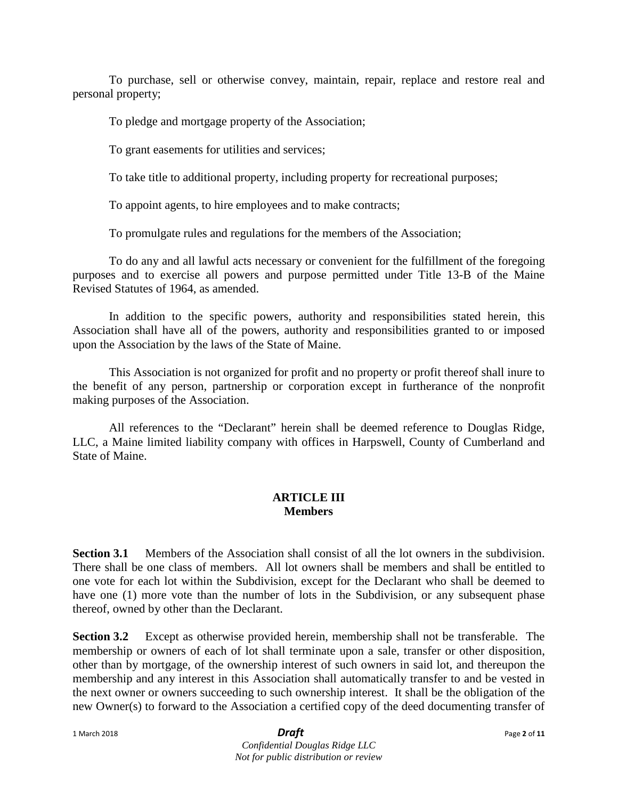To purchase, sell or otherwise convey, maintain, repair, replace and restore real and personal property;

To pledge and mortgage property of the Association;

To grant easements for utilities and services;

To take title to additional property, including property for recreational purposes;

To appoint agents, to hire employees and to make contracts;

To promulgate rules and regulations for the members of the Association;

To do any and all lawful acts necessary or convenient for the fulfillment of the foregoing purposes and to exercise all powers and purpose permitted under Title 13-B of the Maine Revised Statutes of 1964, as amended.

In addition to the specific powers, authority and responsibilities stated herein, this Association shall have all of the powers, authority and responsibilities granted to or imposed upon the Association by the laws of the State of Maine.

This Association is not organized for profit and no property or profit thereof shall inure to the benefit of any person, partnership or corporation except in furtherance of the nonprofit making purposes of the Association.

All references to the "Declarant" herein shall be deemed reference to Douglas Ridge, LLC, a Maine limited liability company with offices in Harpswell, County of Cumberland and State of Maine.

### **ARTICLE III Members**

**Section 3.1** Members of the Association shall consist of all the lot owners in the subdivision. There shall be one class of members. All lot owners shall be members and shall be entitled to one vote for each lot within the Subdivision, except for the Declarant who shall be deemed to have one (1) more vote than the number of lots in the Subdivision, or any subsequent phase thereof, owned by other than the Declarant.

**Section 3.2** Except as otherwise provided herein, membership shall not be transferable. The membership or owners of each of lot shall terminate upon a sale, transfer or other disposition, other than by mortgage, of the ownership interest of such owners in said lot, and thereupon the membership and any interest in this Association shall automatically transfer to and be vested in the next owner or owners succeeding to such ownership interest. It shall be the obligation of the new Owner(s) to forward to the Association a certified copy of the deed documenting transfer of

1 March 2018 *Draft* Page **<sup>2</sup>** of **<sup>11</sup>** *Confidential Douglas Ridge LLC Not for public distribution or review*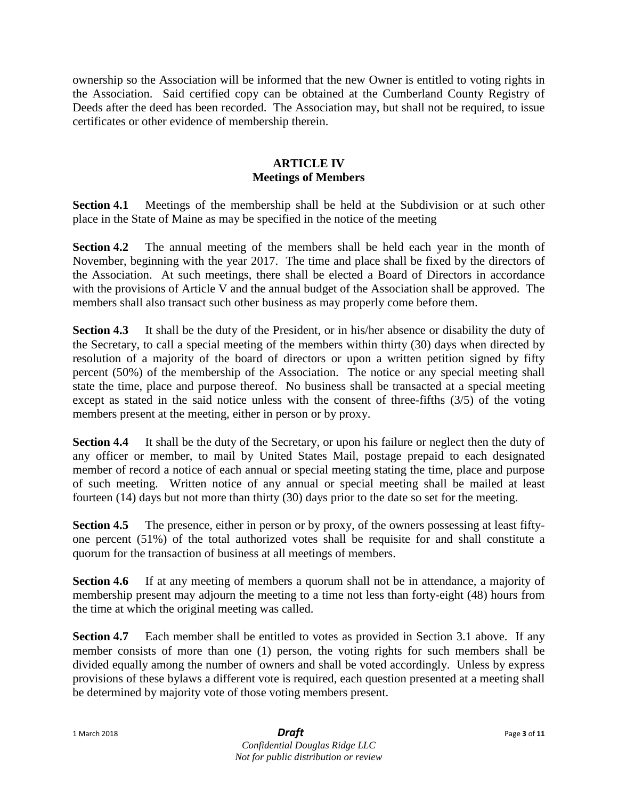ownership so the Association will be informed that the new Owner is entitled to voting rights in the Association. Said certified copy can be obtained at the Cumberland County Registry of Deeds after the deed has been recorded. The Association may, but shall not be required, to issue certificates or other evidence of membership therein.

# **ARTICLE IV Meetings of Members**

**Section 4.1** Meetings of the membership shall be held at the Subdivision or at such other place in the State of Maine as may be specified in the notice of the meeting

**Section 4.2** The annual meeting of the members shall be held each year in the month of November, beginning with the year 2017. The time and place shall be fixed by the directors of the Association. At such meetings, there shall be elected a Board of Directors in accordance with the provisions of Article V and the annual budget of the Association shall be approved. The members shall also transact such other business as may properly come before them.

**Section 4.3** It shall be the duty of the President, or in his/her absence or disability the duty of the Secretary, to call a special meeting of the members within thirty (30) days when directed by resolution of a majority of the board of directors or upon a written petition signed by fifty percent (50%) of the membership of the Association. The notice or any special meeting shall state the time, place and purpose thereof. No business shall be transacted at a special meeting except as stated in the said notice unless with the consent of three-fifths (3/5) of the voting members present at the meeting, either in person or by proxy.

**Section 4.4** It shall be the duty of the Secretary, or upon his failure or neglect then the duty of any officer or member, to mail by United States Mail, postage prepaid to each designated member of record a notice of each annual or special meeting stating the time, place and purpose of such meeting. Written notice of any annual or special meeting shall be mailed at least fourteen (14) days but not more than thirty (30) days prior to the date so set for the meeting.

**Section 4.5** The presence, either in person or by proxy, of the owners possessing at least fiftyone percent (51%) of the total authorized votes shall be requisite for and shall constitute a quorum for the transaction of business at all meetings of members.

**Section 4.6** If at any meeting of members a quorum shall not be in attendance, a majority of membership present may adjourn the meeting to a time not less than forty-eight (48) hours from the time at which the original meeting was called.

**Section 4.7** Each member shall be entitled to votes as provided in Section 3.1 above. If any member consists of more than one (1) person, the voting rights for such members shall be divided equally among the number of owners and shall be voted accordingly. Unless by express provisions of these bylaws a different vote is required, each question presented at a meeting shall be determined by majority vote of those voting members present.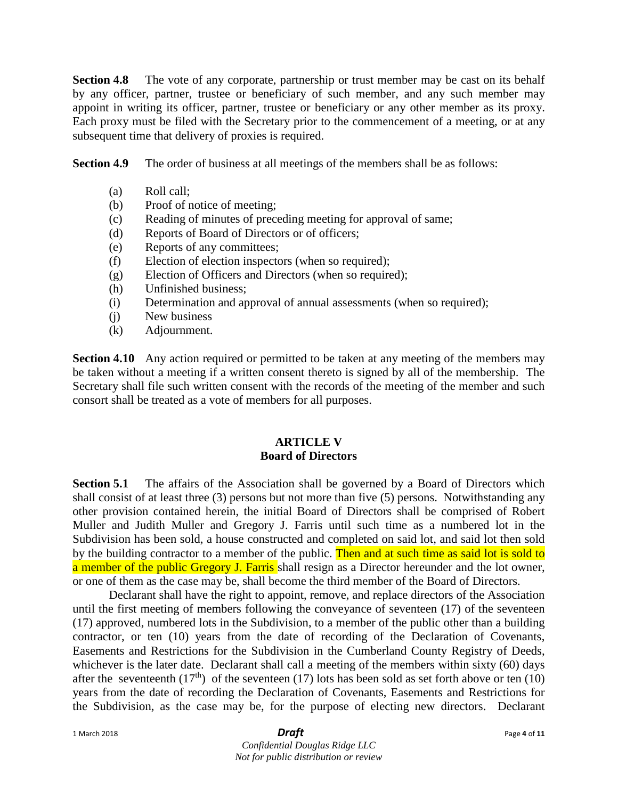**Section 4.8** The vote of any corporate, partnership or trust member may be cast on its behalf by any officer, partner, trustee or beneficiary of such member, and any such member may appoint in writing its officer, partner, trustee or beneficiary or any other member as its proxy. Each proxy must be filed with the Secretary prior to the commencement of a meeting, or at any subsequent time that delivery of proxies is required.

**Section 4.9** The order of business at all meetings of the members shall be as follows:

- (a) Roll call;
- (b) Proof of notice of meeting;
- (c) Reading of minutes of preceding meeting for approval of same;
- (d) Reports of Board of Directors or of officers;
- (e) Reports of any committees;
- (f) Election of election inspectors (when so required);
- (g) Election of Officers and Directors (when so required);
- (h) Unfinished business;
- (i) Determination and approval of annual assessments (when so required);
- (j) New business
- (k) Adjournment.

**Section 4.10** Any action required or permitted to be taken at any meeting of the members may be taken without a meeting if a written consent thereto is signed by all of the membership. The Secretary shall file such written consent with the records of the meeting of the member and such consort shall be treated as a vote of members for all purposes.

# **ARTICLE V Board of Directors**

**Section 5.1** The affairs of the Association shall be governed by a Board of Directors which shall consist of at least three (3) persons but not more than five (5) persons. Notwithstanding any other provision contained herein, the initial Board of Directors shall be comprised of Robert Muller and Judith Muller and Gregory J. Farris until such time as a numbered lot in the Subdivision has been sold, a house constructed and completed on said lot, and said lot then sold by the building contractor to a member of the public. Then and at such time as said lot is sold to a member of the public Gregory J. Farris shall resign as a Director hereunder and the lot owner, or one of them as the case may be, shall become the third member of the Board of Directors.

Declarant shall have the right to appoint, remove, and replace directors of the Association until the first meeting of members following the conveyance of seventeen (17) of the seventeen (17) approved, numbered lots in the Subdivision, to a member of the public other than a building contractor, or ten (10) years from the date of recording of the Declaration of Covenants, Easements and Restrictions for the Subdivision in the Cumberland County Registry of Deeds, whichever is the later date. Declarant shall call a meeting of the members within sixty (60) days after the seventeenth (17<sup>th</sup>) of the seventeen (17) lots has been sold as set forth above or ten (10) years from the date of recording the Declaration of Covenants, Easements and Restrictions for the Subdivision, as the case may be, for the purpose of electing new directors. Declarant

### *Confidential Douglas Ridge LLC Not for public distribution or review*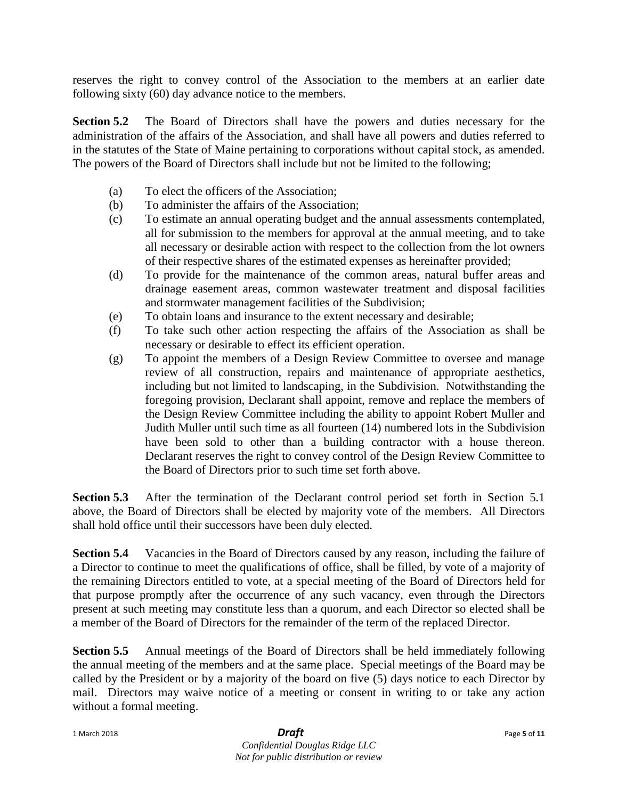reserves the right to convey control of the Association to the members at an earlier date following sixty (60) day advance notice to the members.

**Section 5.2** The Board of Directors shall have the powers and duties necessary for the administration of the affairs of the Association, and shall have all powers and duties referred to in the statutes of the State of Maine pertaining to corporations without capital stock, as amended. The powers of the Board of Directors shall include but not be limited to the following;

- (a) To elect the officers of the Association;
- (b) To administer the affairs of the Association;
- (c) To estimate an annual operating budget and the annual assessments contemplated, all for submission to the members for approval at the annual meeting, and to take all necessary or desirable action with respect to the collection from the lot owners of their respective shares of the estimated expenses as hereinafter provided;
- (d) To provide for the maintenance of the common areas, natural buffer areas and drainage easement areas, common wastewater treatment and disposal facilities and stormwater management facilities of the Subdivision;
- (e) To obtain loans and insurance to the extent necessary and desirable;
- (f) To take such other action respecting the affairs of the Association as shall be necessary or desirable to effect its efficient operation.
- (g) To appoint the members of a Design Review Committee to oversee and manage review of all construction, repairs and maintenance of appropriate aesthetics, including but not limited to landscaping, in the Subdivision. Notwithstanding the foregoing provision, Declarant shall appoint, remove and replace the members of the Design Review Committee including the ability to appoint Robert Muller and Judith Muller until such time as all fourteen (14) numbered lots in the Subdivision have been sold to other than a building contractor with a house thereon. Declarant reserves the right to convey control of the Design Review Committee to the Board of Directors prior to such time set forth above.

**Section 5.3** After the termination of the Declarant control period set forth in Section 5.1 above, the Board of Directors shall be elected by majority vote of the members. All Directors shall hold office until their successors have been duly elected.

**Section 5.4** Vacancies in the Board of Directors caused by any reason, including the failure of a Director to continue to meet the qualifications of office, shall be filled, by vote of a majority of the remaining Directors entitled to vote, at a special meeting of the Board of Directors held for that purpose promptly after the occurrence of any such vacancy, even through the Directors present at such meeting may constitute less than a quorum, and each Director so elected shall be a member of the Board of Directors for the remainder of the term of the replaced Director.

**Section 5.5** Annual meetings of the Board of Directors shall be held immediately following the annual meeting of the members and at the same place. Special meetings of the Board may be called by the President or by a majority of the board on five (5) days notice to each Director by mail. Directors may waive notice of a meeting or consent in writing to or take any action without a formal meeting.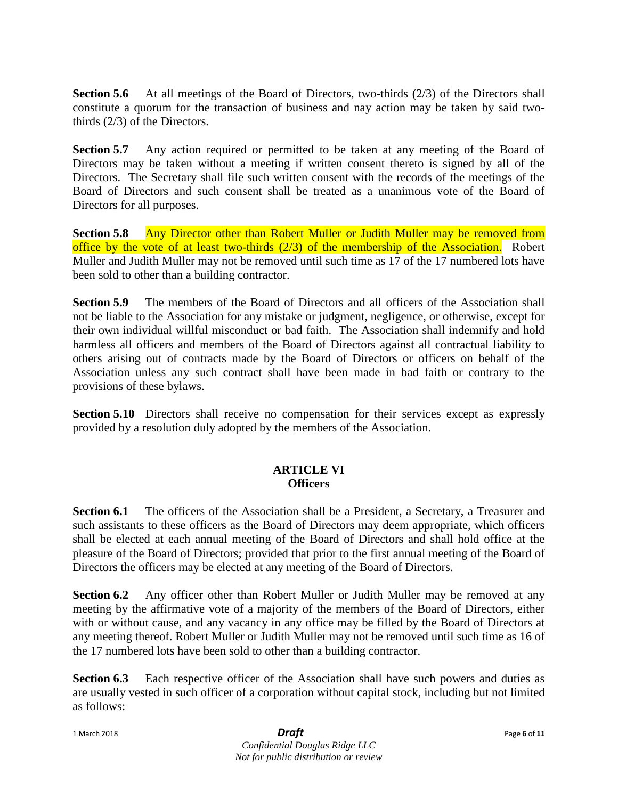**Section 5.6** At all meetings of the Board of Directors, two-thirds (2/3) of the Directors shall constitute a quorum for the transaction of business and nay action may be taken by said twothirds (2/3) of the Directors.

**Section 5.7** Any action required or permitted to be taken at any meeting of the Board of Directors may be taken without a meeting if written consent thereto is signed by all of the Directors. The Secretary shall file such written consent with the records of the meetings of the Board of Directors and such consent shall be treated as a unanimous vote of the Board of Directors for all purposes.

**Section 5.8** Any Director other than Robert Muller or Judith Muller may be removed from office by the vote of at least two-thirds  $(2/3)$  of the membership of the Association. Robert Muller and Judith Muller may not be removed until such time as 17 of the 17 numbered lots have been sold to other than a building contractor.

**Section 5.9** The members of the Board of Directors and all officers of the Association shall not be liable to the Association for any mistake or judgment, negligence, or otherwise, except for their own individual willful misconduct or bad faith. The Association shall indemnify and hold harmless all officers and members of the Board of Directors against all contractual liability to others arising out of contracts made by the Board of Directors or officers on behalf of the Association unless any such contract shall have been made in bad faith or contrary to the provisions of these bylaws.

**Section 5.10** Directors shall receive no compensation for their services except as expressly provided by a resolution duly adopted by the members of the Association.

# **ARTICLE VI Officers**

**Section 6.1** The officers of the Association shall be a President, a Secretary, a Treasurer and such assistants to these officers as the Board of Directors may deem appropriate, which officers shall be elected at each annual meeting of the Board of Directors and shall hold office at the pleasure of the Board of Directors; provided that prior to the first annual meeting of the Board of Directors the officers may be elected at any meeting of the Board of Directors.

**Section 6.2** Any officer other than Robert Muller or Judith Muller may be removed at any meeting by the affirmative vote of a majority of the members of the Board of Directors, either with or without cause, and any vacancy in any office may be filled by the Board of Directors at any meeting thereof. Robert Muller or Judith Muller may not be removed until such time as 16 of the 17 numbered lots have been sold to other than a building contractor.

**Section 6.3** Each respective officer of the Association shall have such powers and duties as are usually vested in such officer of a corporation without capital stock, including but not limited as follows:

1 March 2018 *Draft* Page **<sup>6</sup>** of **<sup>11</sup>** *Confidential Douglas Ridge LLC Not for public distribution or review*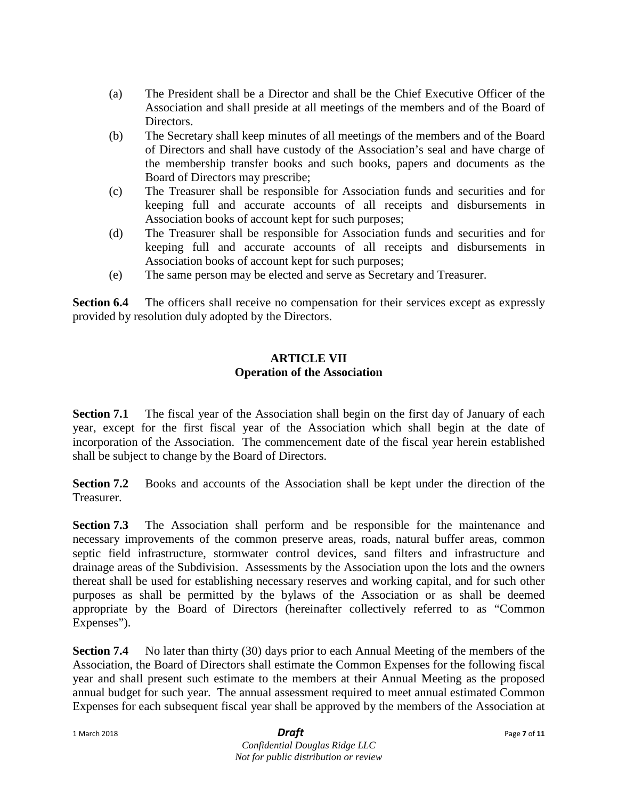- (a) The President shall be a Director and shall be the Chief Executive Officer of the Association and shall preside at all meetings of the members and of the Board of Directors.
- (b) The Secretary shall keep minutes of all meetings of the members and of the Board of Directors and shall have custody of the Association's seal and have charge of the membership transfer books and such books, papers and documents as the Board of Directors may prescribe;
- (c) The Treasurer shall be responsible for Association funds and securities and for keeping full and accurate accounts of all receipts and disbursements in Association books of account kept for such purposes;
- (d) The Treasurer shall be responsible for Association funds and securities and for keeping full and accurate accounts of all receipts and disbursements in Association books of account kept for such purposes;
- (e) The same person may be elected and serve as Secretary and Treasurer.

**Section 6.4** The officers shall receive no compensation for their services except as expressly provided by resolution duly adopted by the Directors.

# **ARTICLE VII Operation of the Association**

**Section 7.1** The fiscal year of the Association shall begin on the first day of January of each year, except for the first fiscal year of the Association which shall begin at the date of incorporation of the Association. The commencement date of the fiscal year herein established shall be subject to change by the Board of Directors.

**Section 7.2** Books and accounts of the Association shall be kept under the direction of the Treasurer.

**Section 7.3** The Association shall perform and be responsible for the maintenance and necessary improvements of the common preserve areas, roads, natural buffer areas, common septic field infrastructure, stormwater control devices, sand filters and infrastructure and drainage areas of the Subdivision. Assessments by the Association upon the lots and the owners thereat shall be used for establishing necessary reserves and working capital, and for such other purposes as shall be permitted by the bylaws of the Association or as shall be deemed appropriate by the Board of Directors (hereinafter collectively referred to as "Common Expenses").

**Section 7.4** No later than thirty (30) days prior to each Annual Meeting of the members of the Association, the Board of Directors shall estimate the Common Expenses for the following fiscal year and shall present such estimate to the members at their Annual Meeting as the proposed annual budget for such year. The annual assessment required to meet annual estimated Common Expenses for each subsequent fiscal year shall be approved by the members of the Association at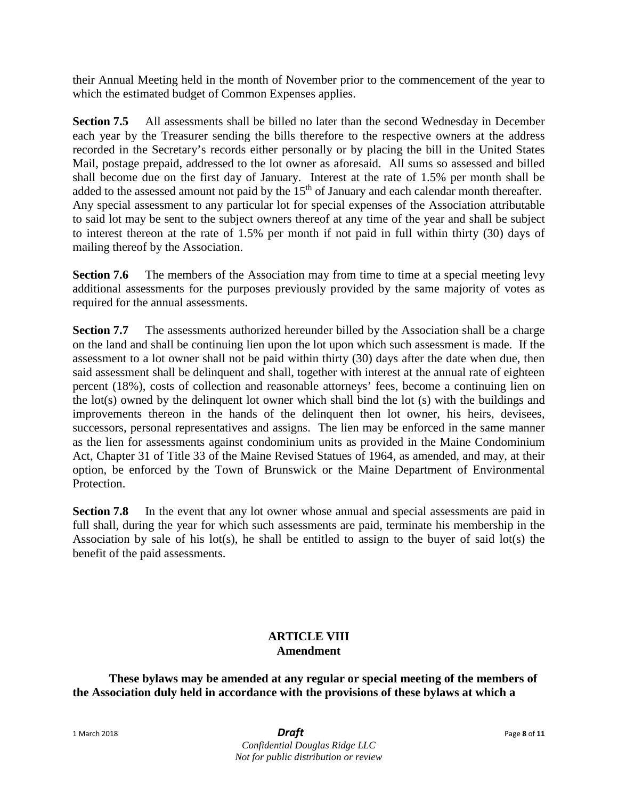their Annual Meeting held in the month of November prior to the commencement of the year to which the estimated budget of Common Expenses applies.

**Section 7.5** All assessments shall be billed no later than the second Wednesday in December each year by the Treasurer sending the bills therefore to the respective owners at the address recorded in the Secretary's records either personally or by placing the bill in the United States Mail, postage prepaid, addressed to the lot owner as aforesaid. All sums so assessed and billed shall become due on the first day of January. Interest at the rate of 1.5% per month shall be added to the assessed amount not paid by the 15<sup>th</sup> of January and each calendar month thereafter. Any special assessment to any particular lot for special expenses of the Association attributable to said lot may be sent to the subject owners thereof at any time of the year and shall be subject to interest thereon at the rate of 1.5% per month if not paid in full within thirty (30) days of mailing thereof by the Association.

**Section 7.6** The members of the Association may from time to time at a special meeting levy additional assessments for the purposes previously provided by the same majority of votes as required for the annual assessments.

**Section 7.7** The assessments authorized hereunder billed by the Association shall be a charge on the land and shall be continuing lien upon the lot upon which such assessment is made. If the assessment to a lot owner shall not be paid within thirty (30) days after the date when due, then said assessment shall be delinquent and shall, together with interest at the annual rate of eighteen percent (18%), costs of collection and reasonable attorneys' fees, become a continuing lien on the lot(s) owned by the delinquent lot owner which shall bind the lot (s) with the buildings and improvements thereon in the hands of the delinquent then lot owner, his heirs, devisees, successors, personal representatives and assigns. The lien may be enforced in the same manner as the lien for assessments against condominium units as provided in the Maine Condominium Act, Chapter 31 of Title 33 of the Maine Revised Statues of 1964, as amended, and may, at their option, be enforced by the Town of Brunswick or the Maine Department of Environmental Protection.

**Section 7.8** In the event that any lot owner whose annual and special assessments are paid in full shall, during the year for which such assessments are paid, terminate his membership in the Association by sale of his lot(s), he shall be entitled to assign to the buyer of said lot(s) the benefit of the paid assessments.

# **ARTICLE VIII Amendment**

**These bylaws may be amended at any regular or special meeting of the members of the Association duly held in accordance with the provisions of these bylaws at which a**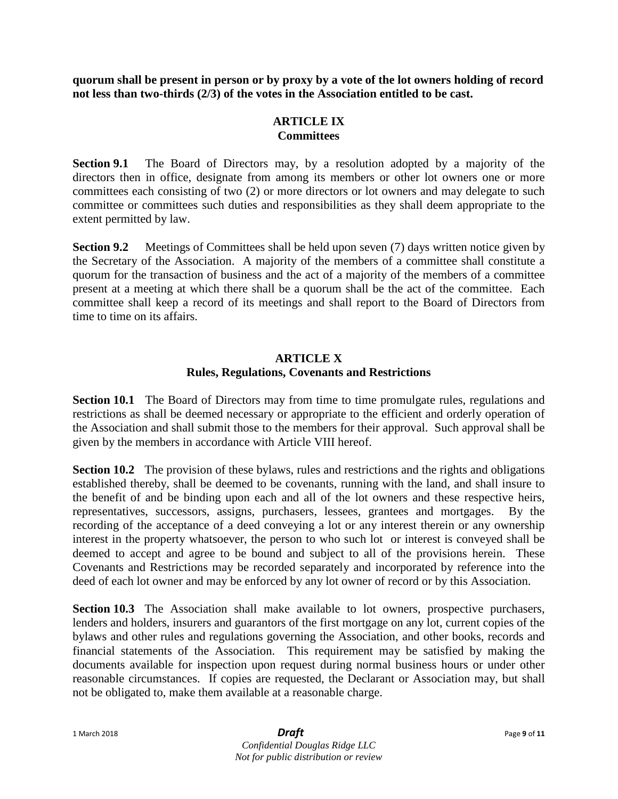**quorum shall be present in person or by proxy by a vote of the lot owners holding of record not less than two-thirds (2/3) of the votes in the Association entitled to be cast.**

# **ARTICLE IX Committees**

**Section 9.1** The Board of Directors may, by a resolution adopted by a majority of the directors then in office, designate from among its members or other lot owners one or more committees each consisting of two (2) or more directors or lot owners and may delegate to such committee or committees such duties and responsibilities as they shall deem appropriate to the extent permitted by law.

**Section 9.2** Meetings of Committees shall be held upon seven (7) days written notice given by the Secretary of the Association. A majority of the members of a committee shall constitute a quorum for the transaction of business and the act of a majority of the members of a committee present at a meeting at which there shall be a quorum shall be the act of the committee. Each committee shall keep a record of its meetings and shall report to the Board of Directors from time to time on its affairs.

### **ARTICLE X Rules, Regulations, Covenants and Restrictions**

**Section 10.1** The Board of Directors may from time to time promulgate rules, regulations and restrictions as shall be deemed necessary or appropriate to the efficient and orderly operation of the Association and shall submit those to the members for their approval. Such approval shall be given by the members in accordance with Article VIII hereof.

**Section 10.2** The provision of these bylaws, rules and restrictions and the rights and obligations established thereby, shall be deemed to be covenants, running with the land, and shall insure to the benefit of and be binding upon each and all of the lot owners and these respective heirs, representatives, successors, assigns, purchasers, lessees, grantees and mortgages. By the recording of the acceptance of a deed conveying a lot or any interest therein or any ownership interest in the property whatsoever, the person to who such lot or interest is conveyed shall be deemed to accept and agree to be bound and subject to all of the provisions herein. These Covenants and Restrictions may be recorded separately and incorporated by reference into the deed of each lot owner and may be enforced by any lot owner of record or by this Association.

**Section 10.3** The Association shall make available to lot owners, prospective purchasers, lenders and holders, insurers and guarantors of the first mortgage on any lot, current copies of the bylaws and other rules and regulations governing the Association, and other books, records and financial statements of the Association. This requirement may be satisfied by making the documents available for inspection upon request during normal business hours or under other reasonable circumstances. If copies are requested, the Declarant or Association may, but shall not be obligated to, make them available at a reasonable charge.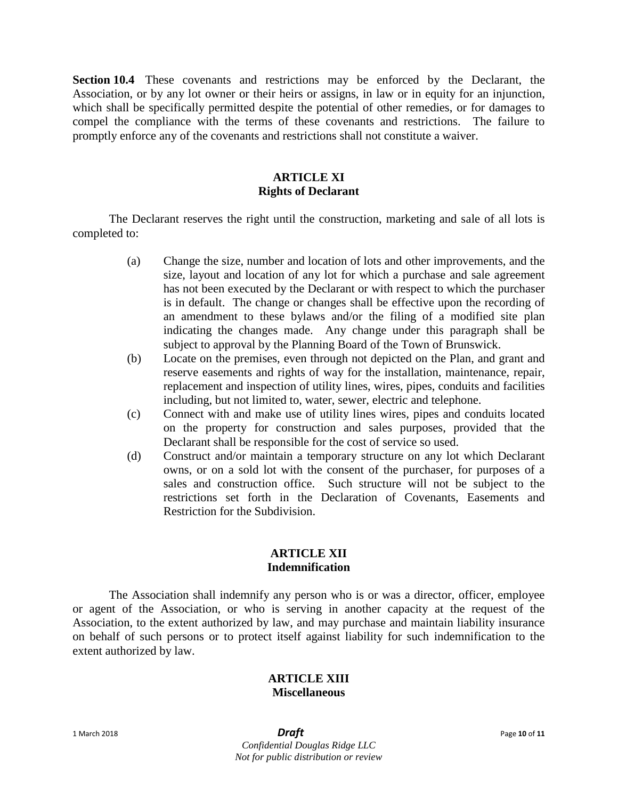**Section 10.4** These covenants and restrictions may be enforced by the Declarant, the Association, or by any lot owner or their heirs or assigns, in law or in equity for an injunction, which shall be specifically permitted despite the potential of other remedies, or for damages to compel the compliance with the terms of these covenants and restrictions. The failure to promptly enforce any of the covenants and restrictions shall not constitute a waiver.

### **ARTICLE XI Rights of Declarant**

The Declarant reserves the right until the construction, marketing and sale of all lots is completed to:

- (a) Change the size, number and location of lots and other improvements, and the size, layout and location of any lot for which a purchase and sale agreement has not been executed by the Declarant or with respect to which the purchaser is in default. The change or changes shall be effective upon the recording of an amendment to these bylaws and/or the filing of a modified site plan indicating the changes made. Any change under this paragraph shall be subject to approval by the Planning Board of the Town of Brunswick.
- (b) Locate on the premises, even through not depicted on the Plan, and grant and reserve easements and rights of way for the installation, maintenance, repair, replacement and inspection of utility lines, wires, pipes, conduits and facilities including, but not limited to, water, sewer, electric and telephone.
- (c) Connect with and make use of utility lines wires, pipes and conduits located on the property for construction and sales purposes, provided that the Declarant shall be responsible for the cost of service so used.
- (d) Construct and/or maintain a temporary structure on any lot which Declarant owns, or on a sold lot with the consent of the purchaser, for purposes of a sales and construction office. Such structure will not be subject to the restrictions set forth in the Declaration of Covenants, Easements and Restriction for the Subdivision.

### **ARTICLE XII Indemnification**

The Association shall indemnify any person who is or was a director, officer, employee or agent of the Association, or who is serving in another capacity at the request of the Association, to the extent authorized by law, and may purchase and maintain liability insurance on behalf of such persons or to protect itself against liability for such indemnification to the extent authorized by law.

# **ARTICLE XIII**

# **Miscellaneous**

1 March 2018 *Draft* Page **<sup>10</sup>** of **<sup>11</sup>** *Confidential Douglas Ridge LLC Not for public distribution or review*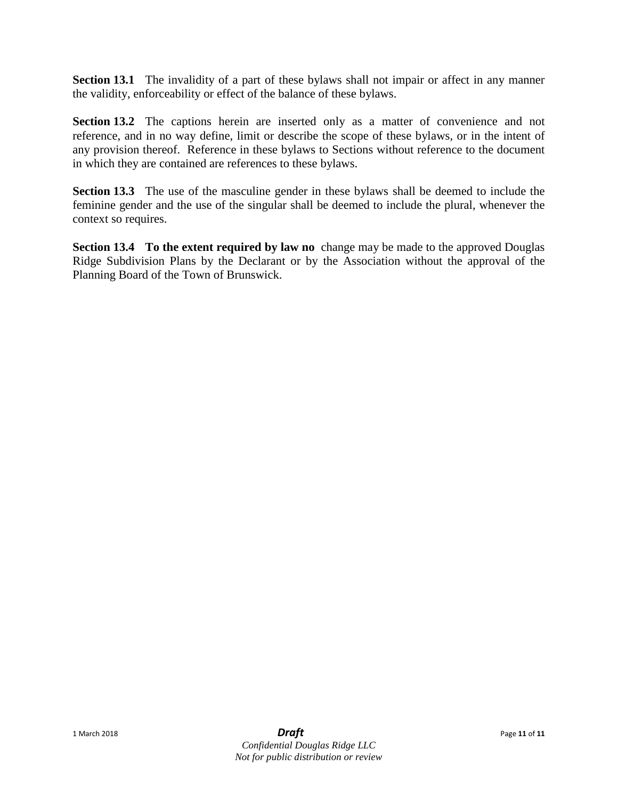**Section 13.1** The invalidity of a part of these bylaws shall not impair or affect in any manner the validity, enforceability or effect of the balance of these bylaws.

**Section 13.2** The captions herein are inserted only as a matter of convenience and not reference, and in no way define, limit or describe the scope of these bylaws, or in the intent of any provision thereof. Reference in these bylaws to Sections without reference to the document in which they are contained are references to these bylaws.

**Section 13.3** The use of the masculine gender in these bylaws shall be deemed to include the feminine gender and the use of the singular shall be deemed to include the plural, whenever the context so requires.

**Section 13.4 To the extent required by law no** change may be made to the approved Douglas Ridge Subdivision Plans by the Declarant or by the Association without the approval of the Planning Board of the Town of Brunswick.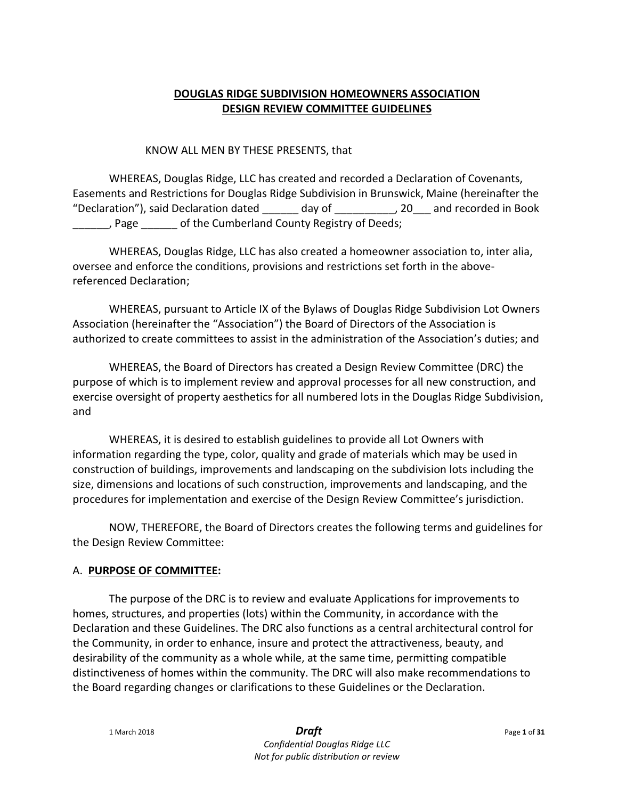# **DOUGLAS RIDGE SUBDIVISION HOMEOWNERS ASSOCIATION DESIGN REVIEW COMMITTEE GUIDELINES**

### KNOW ALL MEN BY THESE PRESENTS, that

WHEREAS, Douglas Ridge, LLC has created and recorded a Declaration of Covenants, Easements and Restrictions for Douglas Ridge Subdivision in Brunswick, Maine (hereinafter the "Declaration"), said Declaration dated \_\_\_\_\_\_ day of \_\_\_\_\_\_\_\_\_\_, 20\_\_\_ and recorded in Book \_\_\_\_\_\_, Page \_\_\_\_\_\_ of the Cumberland County Registry of Deeds;

WHEREAS, Douglas Ridge, LLC has also created a homeowner association to, inter alia, oversee and enforce the conditions, provisions and restrictions set forth in the abovereferenced Declaration;

WHEREAS, pursuant to Article IX of the Bylaws of Douglas Ridge Subdivision Lot Owners Association (hereinafter the "Association") the Board of Directors of the Association is authorized to create committees to assist in the administration of the Association's duties; and

WHEREAS, the Board of Directors has created a Design Review Committee (DRC) the purpose of which is to implement review and approval processes for all new construction, and exercise oversight of property aesthetics for all numbered lots in the Douglas Ridge Subdivision, and

WHEREAS, it is desired to establish guidelines to provide all Lot Owners with information regarding the type, color, quality and grade of materials which may be used in construction of buildings, improvements and landscaping on the subdivision lots including the size, dimensions and locations of such construction, improvements and landscaping, and the procedures for implementation and exercise of the Design Review Committee's jurisdiction.

NOW, THEREFORE, the Board of Directors creates the following terms and guidelines for the Design Review Committee:

### A. **PURPOSE OF COMMITTEE:**

The purpose of the DRC is to review and evaluate Applications for improvements to homes, structures, and properties (lots) within the Community, in accordance with the Declaration and these Guidelines. The DRC also functions as a central architectural control for the Community, in order to enhance, insure and protect the attractiveness, beauty, and desirability of the community as a whole while, at the same time, permitting compatible distinctiveness of homes within the community. The DRC will also make recommendations to the Board regarding changes or clarifications to these Guidelines or the Declaration.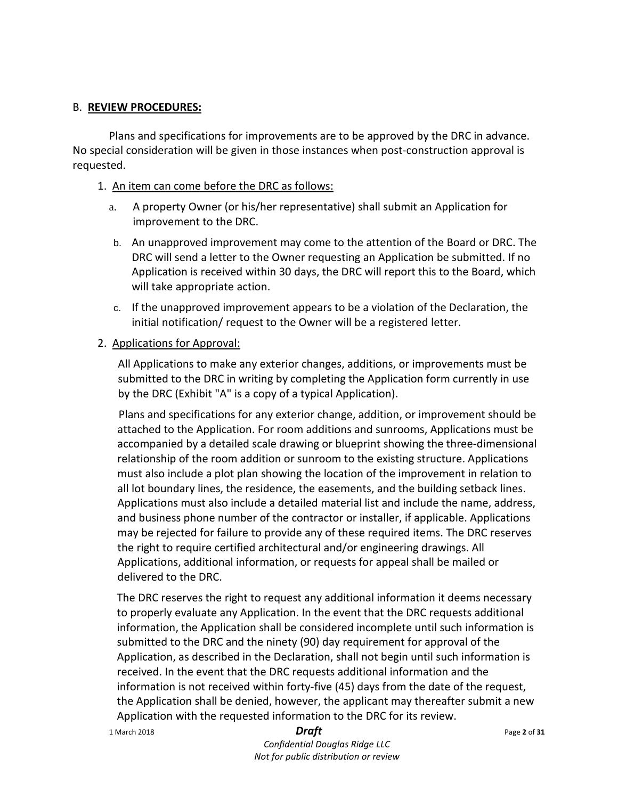### B. **REVIEW PROCEDURES:**

Plans and specifications for improvements are to be approved by the DRC in advance. No special consideration will be given in those instances when post-construction approval is requested.

### 1. An item can come before the DRC as follows:

- a. A property Owner (or his/her representative) shall submit an Application for improvement to the DRC.
- b. An unapproved improvement may come to the attention of the Board or DRC. The DRC will send a letter to the Owner requesting an Application be submitted. If no Application is received within 30 days, the DRC will report this to the Board, which will take appropriate action.
- c. If the unapproved improvement appears to be a violation of the Declaration, the initial notification/ request to the Owner will be a registered letter.
- 2. Applications for Approval:

All Applications to make any exterior changes, additions, or improvements must be submitted to the DRC in writing by completing the Application form currently in use by the DRC (Exhibit "A" is a copy of a typical Application).

Plans and specifications for any exterior change, addition, or improvement should be attached to the Application. For room additions and sunrooms, Applications must be accompanied by a detailed scale drawing or blueprint showing the three-dimensional relationship of the room addition or sunroom to the existing structure. Applications must also include a plot plan showing the location of the improvement in relation to all lot boundary lines, the residence, the easements, and the building setback lines. Applications must also include a detailed material list and include the name, address, and business phone number of the contractor or installer, if applicable. Applications may be rejected for failure to provide any of these required items. The DRC reserves the right to require certified architectural and/or engineering drawings. All Applications, additional information, or requests for appeal shall be mailed or delivered to the DRC.

The DRC reserves the right to request any additional information it deems necessary to properly evaluate any Application. In the event that the DRC requests additional information, the Application shall be considered incomplete until such information is submitted to the DRC and the ninety (90) day requirement for approval of the Application, as described in the Declaration, shall not begin until such information is received. In the event that the DRC requests additional information and the information is not received within forty-five (45) days from the date of the request, the Application shall be denied, however, the applicant may thereafter submit a new Application with the requested information to the DRC for its review.

1 March 2018 *Draft* Page **<sup>2</sup>** of **<sup>31</sup>**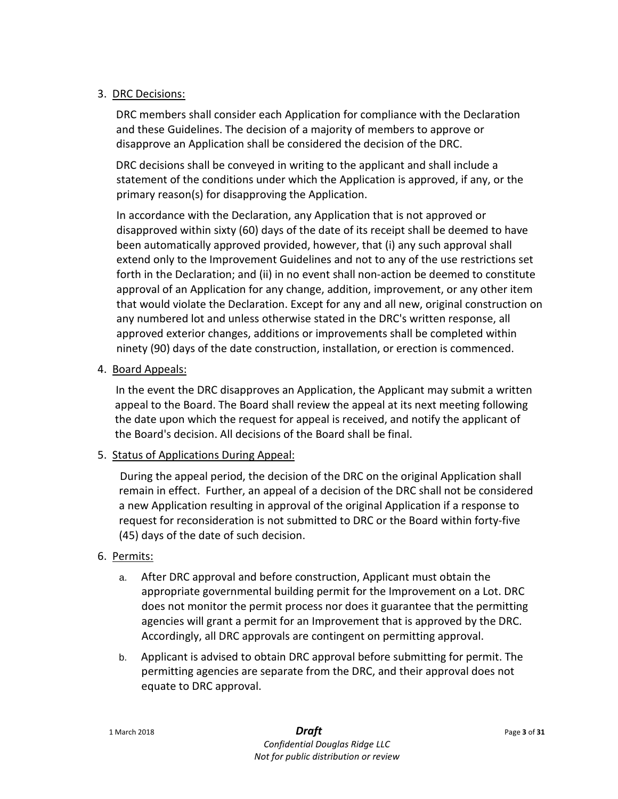# 3. DRC Decisions:

DRC members shall consider each Application for compliance with the Declaration and these Guidelines. The decision of a majority of members to approve or disapprove an Application shall be considered the decision of the DRC.

DRC decisions shall be conveyed in writing to the applicant and shall include a statement of the conditions under which the Application is approved, if any, or the primary reason(s) for disapproving the Application.

In accordance with the Declaration, any Application that is not approved or disapproved within sixty (60) days of the date of its receipt shall be deemed to have been automatically approved provided, however, that (i) any such approval shall extend only to the Improvement Guidelines and not to any of the use restrictions set forth in the Declaration; and (ii) in no event shall non-action be deemed to constitute approval of an Application for any change, addition, improvement, or any other item that would violate the Declaration. Except for any and all new, original construction on any numbered lot and unless otherwise stated in the DRC's written response, all approved exterior changes, additions or improvements shall be completed within ninety (90) days of the date construction, installation, or erection is commenced.

# 4. Board Appeals:

In the event the DRC disapproves an Application, the Applicant may submit a written appeal to the Board. The Board shall review the appeal at its next meeting following the date upon which the request for appeal is received, and notify the applicant of the Board's decision. All decisions of the Board shall be final.

### 5. Status of Applications During Appeal:

During the appeal period, the decision of the DRC on the original Application shall remain in effect. Further, an appeal of a decision of the DRC shall not be considered a new Application resulting in approval of the original Application if a response to request for reconsideration is not submitted to DRC or the Board within forty-five (45) days of the date of such decision.

# 6. Permits:

- a. After DRC approval and before construction, Applicant must obtain the appropriate governmental building permit for the Improvement on a Lot. DRC does not monitor the permit process nor does it guarantee that the permitting agencies will grant a permit for an Improvement that is approved by the DRC. Accordingly, all DRC approvals are contingent on permitting approval.
- b. Applicant is advised to obtain DRC approval before submitting for permit. The permitting agencies are separate from the DRC, and their approval does not equate to DRC approval.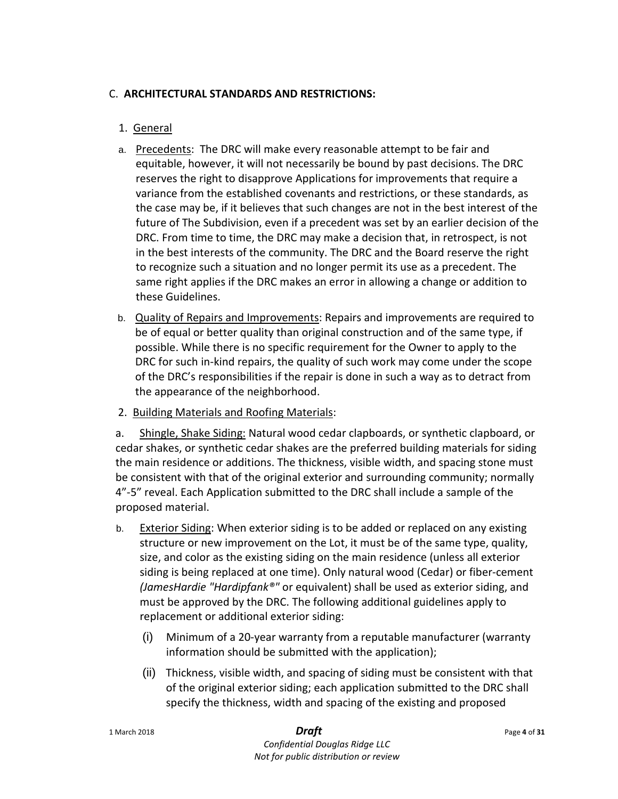# C. **ARCHITECTURAL STANDARDS AND RESTRICTIONS:**

# 1. General

- a. Precedents: The DRC will make every reasonable attempt to be fair and equitable, however, it will not necessarily be bound by past decisions. The DRC reserves the right to disapprove Applications for improvements that require a variance from the established covenants and restrictions, or these standards, as the case may be, if it believes that such changes are not in the best interest of the future of The Subdivision, even if a precedent was set by an earlier decision of the DRC. From time to time, the DRC may make a decision that, in retrospect, is not in the best interests of the community. The DRC and the Board reserve the right to recognize such a situation and no longer permit its use as a precedent. The same right applies if the DRC makes an error in allowing a change or addition to these Guidelines.
- b. Quality of Repairs and Improvements: Repairs and improvements are required to be of equal or better quality than original construction and of the same type, if possible. While there is no specific requirement for the Owner to apply to the DRC for such in-kind repairs, the quality of such work may come under the scope of the DRC's responsibilities if the repair is done in such a way as to detract from the appearance of the neighborhood.
- 2. Building Materials and Roofing Materials:

a. Shingle, Shake Siding: Natural wood cedar clapboards, or synthetic clapboard, or cedar shakes, or synthetic cedar shakes are the preferred building materials for siding the main residence or additions. The thickness, visible width, and spacing stone must be consistent with that of the original exterior and surrounding community; normally 4"-5" reveal. Each Application submitted to the DRC shall include a sample of the proposed material.

- b. Exterior Siding: When exterior siding is to be added or replaced on any existing structure or new improvement on the Lot, it must be of the same type, quality, size, and color as the existing siding on the main residence (unless all exterior siding is being replaced at one time). Only natural wood (Cedar) or fiber-cement *(JamesHardie "Hardipfank®"* or equivalent) shall be used as exterior siding, and must be approved by the DRC. The following additional guidelines apply to replacement or additional exterior siding:
	- (i) Minimum of a 20-year warranty from a reputable manufacturer (warranty information should be submitted with the application);
	- (ii) Thickness, visible width, and spacing of siding must be consistent with that of the original exterior siding; each application submitted to the DRC shall specify the thickness, width and spacing of the existing and proposed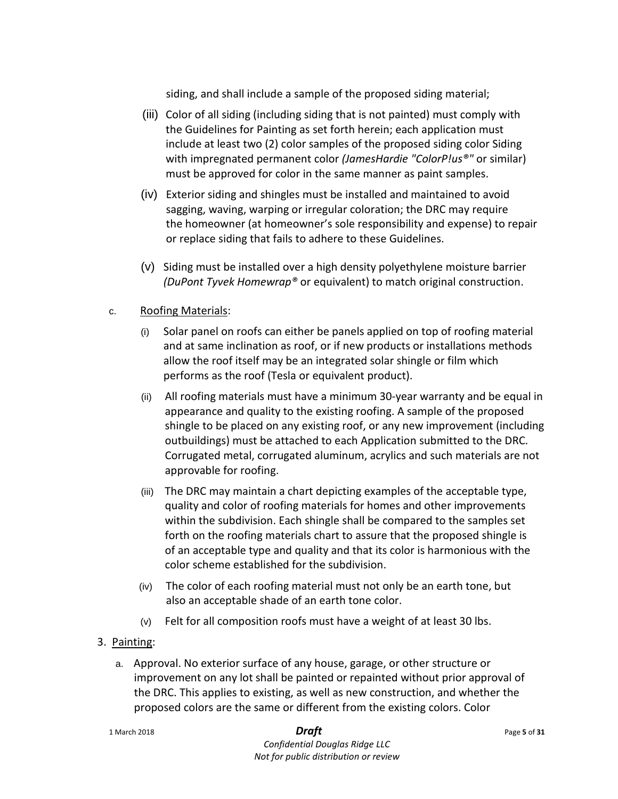siding, and shall include a sample of the proposed siding material;

- (iii) Color of all siding (including siding that is not painted) must comply with the Guidelines for Painting as set forth herein; each application must include at least two (2) color samples of the proposed siding color Siding with impregnated permanent color *(JamesHardie "ColorP!us®"* or similar) must be approved for color in the same manner as paint samples.
- (iv) Exterior siding and shingles must be installed and maintained to avoid sagging, waving, warping or irregular coloration; the DRC may require the homeowner (at homeowner's sole responsibility and expense) to repair or replace siding that fails to adhere to these Guidelines.
- (v) Siding must be installed over a high density polyethylene moisture barrier *(DuPont Tyvek Homewrap®* or equivalent) to match original construction.

# c. Roofing Materials:

- (i) Solar panel on roofs can either be panels applied on top of roofing material and at same inclination as roof, or if new products or installations methods allow the roof itself may be an integrated solar shingle or film which performs as the roof (Tesla or equivalent product).
- (ii) All roofing materials must have a minimum 30-year warranty and be equal in appearance and quality to the existing roofing. A sample of the proposed shingle to be placed on any existing roof, or any new improvement (including outbuildings) must be attached to each Application submitted to the DRC. Corrugated metal, corrugated aluminum, acrylics and such materials are not approvable for roofing.
- (iii) The DRC may maintain a chart depicting examples of the acceptable type, quality and color of roofing materials for homes and other improvements within the subdivision. Each shingle shall be compared to the samples set forth on the roofing materials chart to assure that the proposed shingle is of an acceptable type and quality and that its color is harmonious with the color scheme established for the subdivision.
- (iv) The color of each roofing material must not only be an earth tone, but also an acceptable shade of an earth tone color.
- (v) Felt for all composition roofs must have a weight of at least 30 lbs.
- 3. Painting:
	- a. Approval. No exterior surface of any house, garage, or other structure or improvement on any lot shall be painted or repainted without prior approval of the DRC. This applies to existing, as well as new construction, and whether the proposed colors are the same or different from the existing colors. Color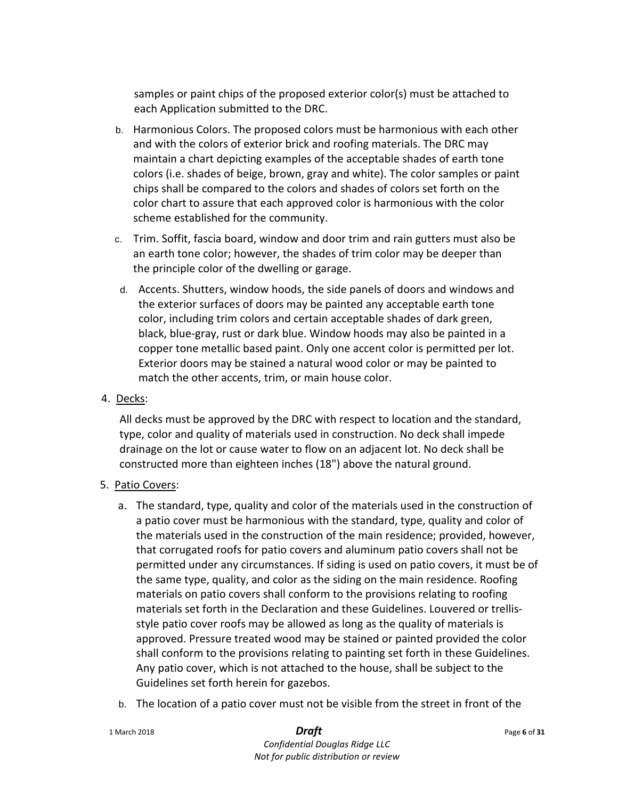samples or paint chips of the proposed exterior color(s) must be attached to each Application submitted to the DRC.

- b. Harmonious Colors. The proposed colors must be harmonious with each other and with the colors of exterior brick and roofing materials. The DRC may maintain a chart depicting examples of the acceptable shades of earth tone colors (i.e. shades of beige, brown, gray and white). The color samples or paint chips shall be compared to the colors and shades of colors set forth on the color chart to assure that each approved color is harmonious with the color scheme established for the community.
- c. Trim. Soffit, fascia board, window and door trim and rain gutters must also be an earth tone color; however, the shades of trim color may be deeper than the principle color of the dwelling or garage.
- d. Accents. Shutters, window hoods, the side panels of doors and windows and the exterior surfaces of doors may be painted any acceptable earth tone color, including trim colors and certain acceptable shades of dark green, black, blue-gray, rust or dark blue. Window hoods may also be painted in a copper tone metallic based paint. Only one accent color is permitted per lot. Exterior doors may be stained a natural wood color or may be painted to match the other accents, trim, or main house color.
- 4. Decks:

All decks must be approved by the DRC with respect to location and the standard, type, color and quality of materials used in construction. No deck shall impede drainage on the lot or cause water to flow on an adjacent lot. No deck shall be constructed more than eighteen inches (18") above the natural ground.

- 5. Patio Covers:
	- a. The standard, type, quality and color of the materials used in the construction of a patio cover must be harmonious with the standard, type, quality and color of the materials used in the construction of the main residence; provided, however, that corrugated roofs for patio covers and aluminum patio covers shall not be permitted under any circumstances. If siding is used on patio covers, it must be of the same type, quality, and color as the siding on the main residence. Roofing materials on patio covers shall conform to the provisions relating to roofing materials set forth in the Declaration and these Guidelines. Louvered or trellisstyle patio cover roofs may be allowed as long as the quality of materials is approved. Pressure treated wood may be stained or painted provided the color shall conform to the provisions relating to painting set forth in these Guidelines. Any patio cover, which is not attached to the house, shall be subject to the Guidelines set forth herein for gazebos.
	- b. The location of a patio cover must not be visible from the street in front of the

| 1 March 2018 | <b>Draft</b> | Page 6 of 31 |
|--------------|--------------|--------------|
|--------------|--------------|--------------|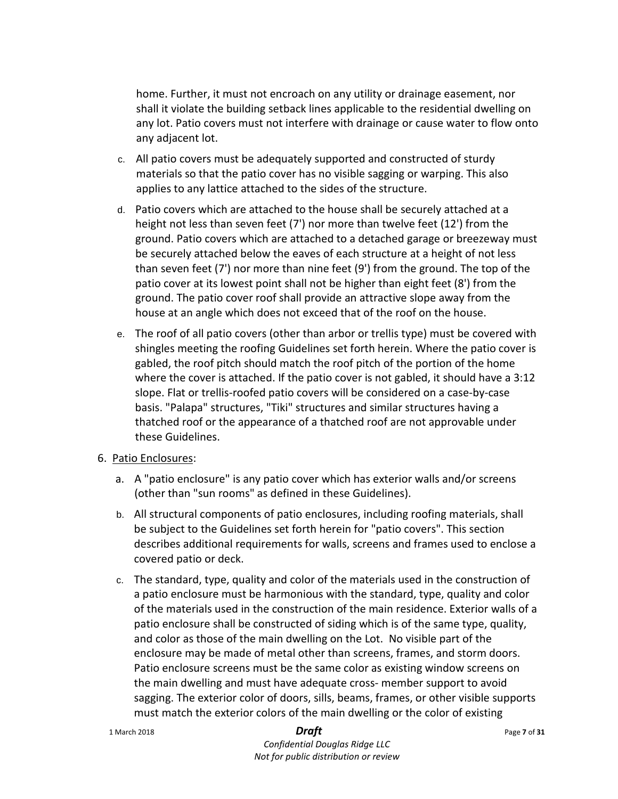home. Further, it must not encroach on any utility or drainage easement, nor shall it violate the building setback lines applicable to the residential dwelling on any lot. Patio covers must not interfere with drainage or cause water to flow onto any adjacent lot.

- c. All patio covers must be adequately supported and constructed of sturdy materials so that the patio cover has no visible sagging or warping. This also applies to any lattice attached to the sides of the structure.
- d. Patio covers which are attached to the house shall be securely attached at a height not less than seven feet (7') nor more than twelve feet (12') from the ground. Patio covers which are attached to a detached garage or breezeway must be securely attached below the eaves of each structure at a height of not less than seven feet (7') nor more than nine feet (9') from the ground. The top of the patio cover at its lowest point shall not be higher than eight feet (8') from the ground. The patio cover roof shall provide an attractive slope away from the house at an angle which does not exceed that of the roof on the house.
- e. The roof of all patio covers (other than arbor or trellis type) must be covered with shingles meeting the roofing Guidelines set forth herein. Where the patio cover is gabled, the roof pitch should match the roof pitch of the portion of the home where the cover is attached. If the patio cover is not gabled, it should have a 3:12 slope. Flat or trellis-roofed patio covers will be considered on a case-by-case basis. "Palapa" structures, "Tiki" structures and similar structures having a thatched roof or the appearance of a thatched roof are not approvable under these Guidelines.

### 6. Patio Enclosures:

- a. A "patio enclosure" is any patio cover which has exterior walls and/or screens (other than "sun rooms" as defined in these Guidelines).
- b. All structural components of patio enclosures, including roofing materials, shall be subject to the Guidelines set forth herein for "patio covers". This section describes additional requirements for walls, screens and frames used to enclose a covered patio or deck.
- c. The standard, type, quality and color of the materials used in the construction of a patio enclosure must be harmonious with the standard, type, quality and color of the materials used in the construction of the main residence. Exterior walls of a patio enclosure shall be constructed of siding which is of the same type, quality, and color as those of the main dwelling on the Lot. No visible part of the enclosure may be made of metal other than screens, frames, and storm doors. Patio enclosure screens must be the same color as existing window screens on the main dwelling and must have adequate cross- member support to avoid sagging. The exterior color of doors, sills, beams, frames, or other visible supports must match the exterior colors of the main dwelling or the color of existing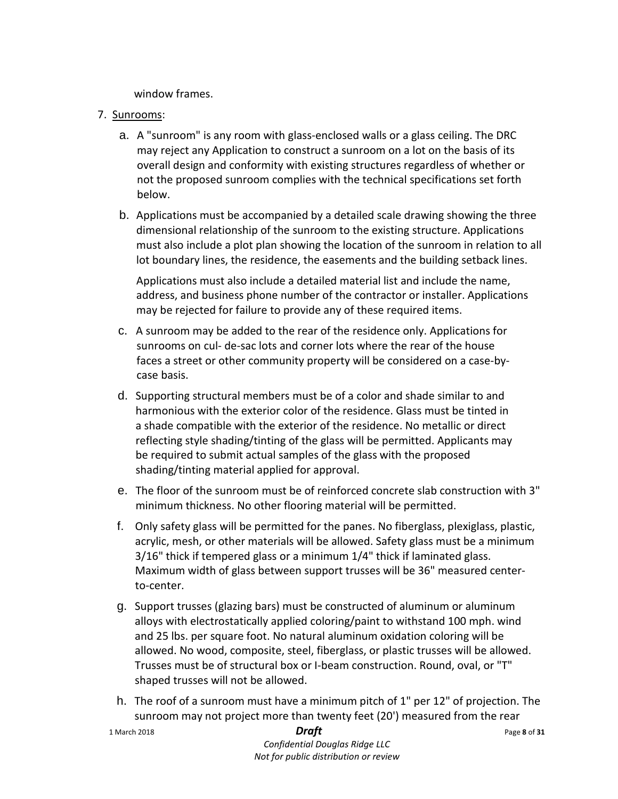window frames.

- 7. Sunrooms:
	- a. A "sunroom" is any room with glass-enclosed walls or a glass ceiling. The DRC may reject any Application to construct a sunroom on a lot on the basis of its overall design and conformity with existing structures regardless of whether or not the proposed sunroom complies with the technical specifications set forth below.
	- b. Applications must be accompanied by a detailed scale drawing showing the three dimensional relationship of the sunroom to the existing structure. Applications must also include a plot plan showing the location of the sunroom in relation to all lot boundary lines, the residence, the easements and the building setback lines.

Applications must also include a detailed material list and include the name, address, and business phone number of the contractor or installer. Applications may be rejected for failure to provide any of these required items.

- c. A sunroom may be added to the rear of the residence only. Applications for sunrooms on cul- de-sac lots and corner lots where the rear of the house faces a street or other community property will be considered on a case-bycase basis.
- d. Supporting structural members must be of a color and shade similar to and harmonious with the exterior color of the residence. Glass must be tinted in a shade compatible with the exterior of the residence. No metallic or direct reflecting style shading/tinting of the glass will be permitted. Applicants may be required to submit actual samples of the glass with the proposed shading/tinting material applied for approval.
- e. The floor of the sunroom must be of reinforced concrete slab construction with 3" minimum thickness. No other flooring material will be permitted.
- f. Only safety glass will be permitted for the panes. No fiberglass, plexiglass, plastic, acrylic, mesh, or other materials will be allowed. Safety glass must be a minimum 3/16" thick if tempered glass or a minimum 1/4" thick if laminated glass. Maximum width of glass between support trusses will be 36" measured centerto-center.
- g. Support trusses (glazing bars) must be constructed of aluminum or aluminum alloys with electrostatically applied coloring/paint to withstand 100 mph. wind and 25 lbs. per square foot. No natural aluminum oxidation coloring will be allowed. No wood, composite, steel, fiberglass, or plastic trusses will be allowed. Trusses must be of structural box or I-beam construction. Round, oval, or "T" shaped trusses will not be allowed.
- h. The roof of a sunroom must have a minimum pitch of 1" per 12" of projection. The sunroom may not project more than twenty feet (20') measured from the rear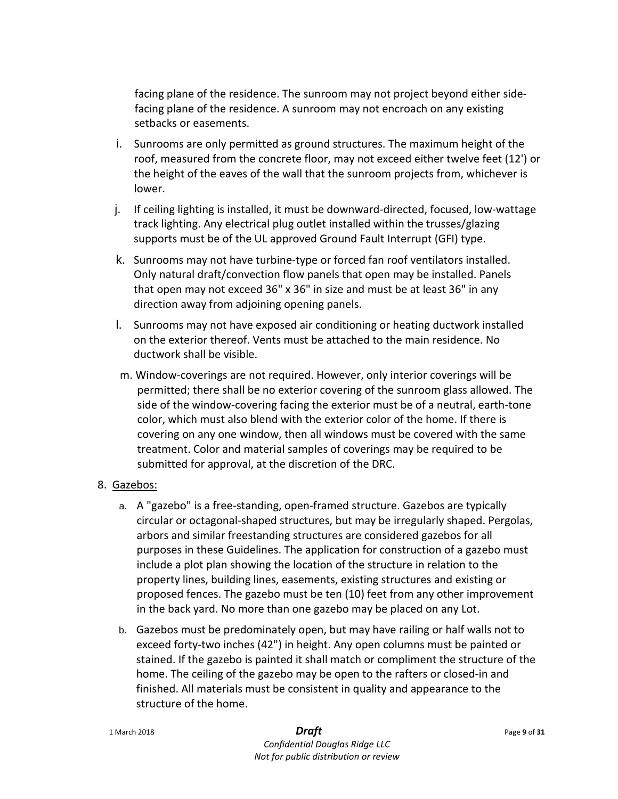facing plane of the residence. The sunroom may not project beyond either sidefacing plane of the residence. A sunroom may not encroach on any existing setbacks or easements.

- i. Sunrooms are only permitted as ground structures. The maximum height of the roof, measured from the concrete floor, may not exceed either twelve feet (12') or the height of the eaves of the wall that the sunroom projects from, whichever is lower.
- j. If ceiling lighting is installed, it must be downward-directed, focused, low-wattage track lighting. Any electrical plug outlet installed within the trusses/glazing supports must be of the UL approved Ground Fault Interrupt (GFI) type.
- k. Sunrooms may not have turbine-type or forced fan roof ventilators installed. Only natural draft/convection flow panels that open may be installed. Panels that open may not exceed 36" x 36" in size and must be at least 36" in any direction away from adjoining opening panels.
- l. Sunrooms may not have exposed air conditioning or heating ductwork installed on the exterior thereof. Vents must be attached to the main residence. No ductwork shall be visible.
- m. Window-coverings are not required. However, only interior coverings will be permitted; there shall be no exterior covering of the sunroom glass allowed. The side of the window-covering facing the exterior must be of a neutral, earth-tone color, which must also blend with the exterior color of the home. If there is covering on any one window, then all windows must be covered with the same treatment. Color and material samples of coverings may be required to be submitted for approval, at the discretion of the DRC.
- 8. Gazebos:
	- a. A "gazebo" is a free-standing, open-framed structure. Gazebos are typically circular or octagonal-shaped structures, but may be irregularly shaped. Pergolas, arbors and similar freestanding structures are considered gazebos for all purposes in these Guidelines. The application for construction of a gazebo must include a plot plan showing the location of the structure in relation to the property lines, building lines, easements, existing structures and existing or proposed fences. The gazebo must be ten (10) feet from any other improvement in the back yard. No more than one gazebo may be placed on any Lot.
	- b. Gazebos must be predominately open, but may have railing or half walls not to exceed forty-two inches (42") in height. Any open columns must be painted or stained. If the gazebo is painted it shall match or compliment the structure of the home. The ceiling of the gazebo may be open to the rafters or closed-in and finished. All materials must be consistent in quality and appearance to the structure of the home.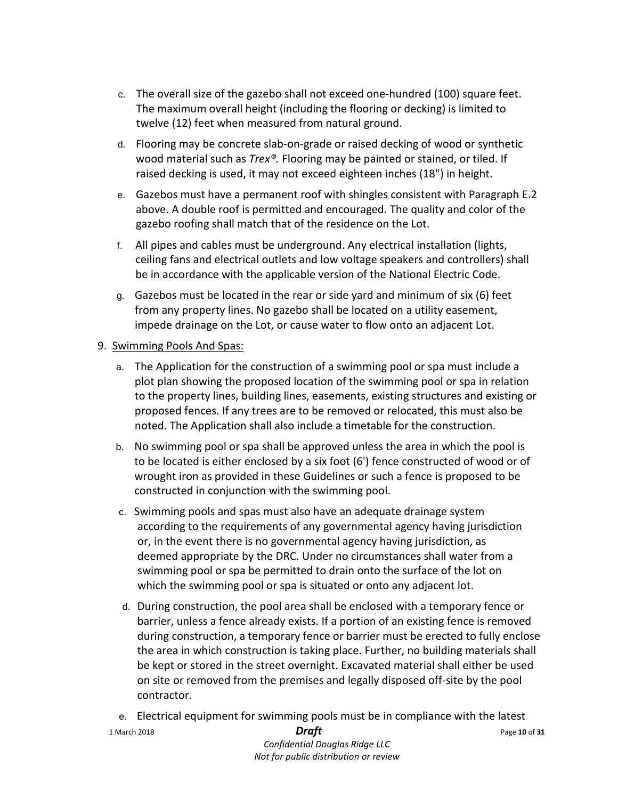- c. The overall size of the gazebo shall not exceed one-hundred (100) square feet. The maximum overall height (including the flooring or decking) is limited to twelve (12) feet when measured from natural ground.
- d. Flooring may be concrete slab-on-grade or raised decking of wood or synthetic wood material such as *Trex®.* Flooring may be painted or stained, or tiled. If raised decking is used, it may not exceed eighteen inches (18") in height.
- e. Gazebos must have a permanent roof with shingles consistent with Paragraph E.2 above. A double roof is permitted and encouraged. The quality and color of the gazebo roofing shall match that of the residence on the Lot.
- f. All pipes and cables must be underground. Any electrical installation (lights, ceiling fans and electrical outlets and low voltage speakers and controllers) shall be in accordance with the applicable version of the National Electric Code.
- g. Gazebos must be located in the rear or side yard and minimum of six (6) feet from any property lines. No gazebo shall be located on a utility easement, impede drainage on the Lot, or cause water to flow onto an adjacent Lot.

# 9. Swimming Pools And Spas:

- a. The Application for the construction of a swimming pool or spa must include a plot plan showing the proposed location of the swimming pool or spa in relation to the property lines, building lines, easements, existing structures and existing or proposed fences. If any trees are to be removed or relocated, this must also be noted. The Application shall also include a timetable for the construction.
- b. No swimming pool or spa shall be approved unless the area in which the pool is to be located is either enclosed by a six foot (6') fence constructed of wood or of wrought iron as provided in these Guidelines or such a fence is proposed to be constructed in conjunction with the swimming pool.
- c. Swimming pools and spas must also have an adequate drainage system according to the requirements of any governmental agency having jurisdiction or, in the event there is no governmental agency having jurisdiction, as deemed appropriate by the DRC. Under no circumstances shall water from a swimming pool or spa be permitted to drain onto the surface of the lot on which the swimming pool or spa is situated or onto any adjacent lot.
- d. During construction, the pool area shall be enclosed with a temporary fence or barrier, unless a fence already exists. If a portion of an existing fence is removed during construction, a temporary fence or barrier must be erected to fully enclose the area in which construction is taking place. Further, no building materials shall be kept or stored in the street overnight. Excavated material shall either be used on site or removed from the premises and legally disposed off-site by the pool contractor.
- e. Electrical equipment for swimming pools must be in compliance with the latest
- 1 March 2018 *Draft* Page **<sup>10</sup>** of **<sup>31</sup>**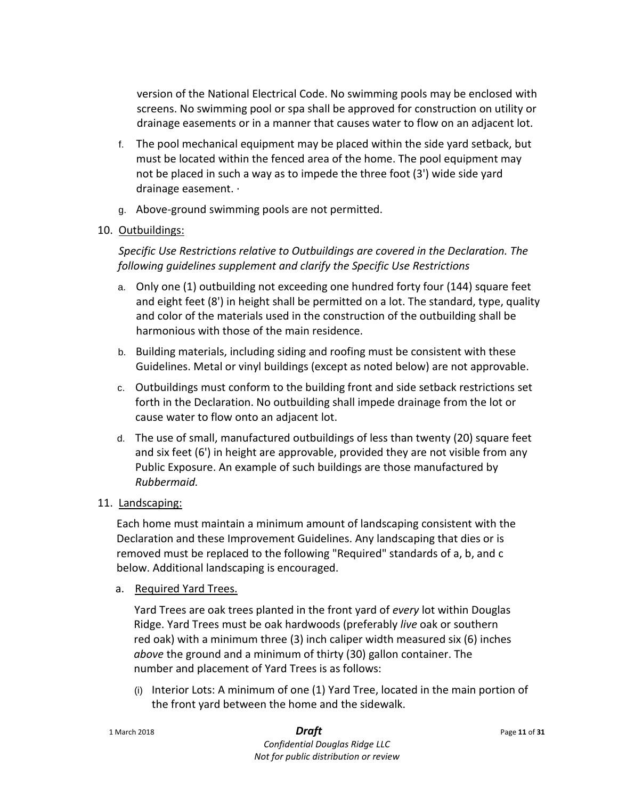version of the National Electrical Code. No swimming pools may be enclosed with screens. No swimming pool or spa shall be approved for construction on utility or drainage easements or in a manner that causes water to flow on an adjacent lot.

- f. The pool mechanical equipment may be placed within the side yard setback, but must be located within the fenced area of the home. The pool equipment may not be placed in such a way as to impede the three foot (3') wide side yard drainage easement. ·
- g. Above-ground swimming pools are not permitted.

# 10. Outbuildings:

*Specific Use Restrictions relative to Outbuildings are covered in the Declaration. The following guidelines supplement and clarify the Specific Use Restrictions*

- a. Only one (1) outbuilding not exceeding one hundred forty four (144) square feet and eight feet (8') in height shall be permitted on a lot. The standard, type, quality and color of the materials used in the construction of the outbuilding shall be harmonious with those of the main residence.
- b. Building materials, including siding and roofing must be consistent with these Guidelines. Metal or vinyl buildings (except as noted below) are not approvable.
- c. Outbuildings must conform to the building front and side setback restrictions set forth in the Declaration. No outbuilding shall impede drainage from the lot or cause water to flow onto an adjacent lot.
- d. The use of small, manufactured outbuildings of less than twenty (20) square feet and six feet (6') in height are approvable, provided they are not visible from any Public Exposure. An example of such buildings are those manufactured by *Rubbermaid.*
- 11. Landscaping:

Each home must maintain a minimum amount of landscaping consistent with the Declaration and these Improvement Guidelines. Any landscaping that dies or is removed must be replaced to the following "Required" standards of a, b, and c below. Additional landscaping is encouraged.

a. Required Yard Trees.

Yard Trees are oak trees planted in the front yard of *every* lot within Douglas Ridge. Yard Trees must be oak hardwoods (preferably *live* oak or southern red oak) with a minimum three (3) inch caliper width measured six (6) inches *above* the ground and a minimum of thirty (30) gallon container. The number and placement of Yard Trees is as follows:

(i) Interior Lots: A minimum of one (1) Yard Tree, located in the main portion of the front yard between the home and the sidewalk.

1 March 2018 *Draft* Page **<sup>11</sup>** of **<sup>31</sup>**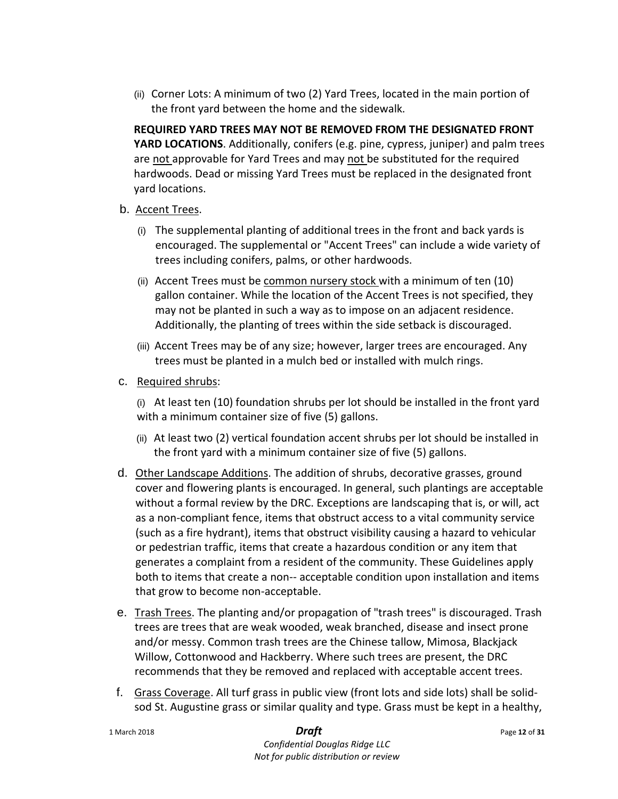(ii) Corner Lots: A minimum of two (2) Yard Trees, located in the main portion of the front yard between the home and the sidewalk.

**REQUIRED YARD TREES MAY NOT BE REMOVED FROM THE DESIGNATED FRONT YARD LOCATIONS**. Additionally, conifers (e.g. pine, cypress, juniper) and palm trees are not approvable for Yard Trees and may not be substituted for the required hardwoods. Dead or missing Yard Trees must be replaced in the designated front yard locations.

- b. Accent Trees.
	- (i) The supplemental planting of additional trees in the front and back yards is encouraged. The supplemental or "Accent Trees" can include a wide variety of trees including conifers, palms, or other hardwoods.
	- (ii) Accent Trees must be common nursery stock with a minimum of ten (10) gallon container. While the location of the Accent Trees is not specified, they may not be planted in such a way as to impose on an adjacent residence. Additionally, the planting of trees within the side setback is discouraged.
	- (iii) Accent Trees may be of any size; however, larger trees are encouraged. Any trees must be planted in a mulch bed or installed with mulch rings.
- c. Required shrubs:
	- (i) At least ten (10) foundation shrubs per lot should be installed in the front yard with a minimum container size of five (5) gallons.
	- (ii) At least two (2) vertical foundation accent shrubs per lot should be installed in the front yard with a minimum container size of five (5) gallons.
- d. Other Landscape Additions. The addition of shrubs, decorative grasses, ground cover and flowering plants is encouraged. In general, such plantings are acceptable without a formal review by the DRC. Exceptions are landscaping that is, or will, act as a non-compliant fence, items that obstruct access to a vital community service (such as a fire hydrant), items that obstruct visibility causing a hazard to vehicular or pedestrian traffic, items that create a hazardous condition or any item that generates a complaint from a resident of the community. These Guidelines apply both to items that create a non-- acceptable condition upon installation and items that grow to become non-acceptable.
- e. Trash Trees. The planting and/or propagation of "trash trees" is discouraged. Trash trees are trees that are weak wooded, weak branched, disease and insect prone and/or messy. Common trash trees are the Chinese tallow, Mimosa, Blackjack Willow, Cottonwood and Hackberry. Where such trees are present, the DRC recommends that they be removed and replaced with acceptable accent trees.
- f. Grass Coverage. All turf grass in public view (front lots and side lots) shall be solidsod St. Augustine grass or similar quality and type. Grass must be kept in a healthy,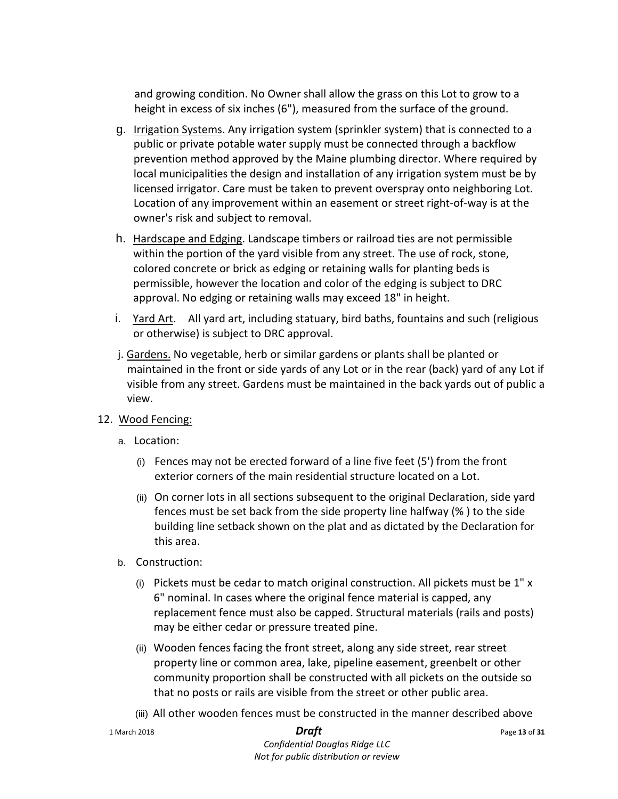and growing condition. No Owner shall allow the grass on this Lot to grow to a height in excess of six inches (6"), measured from the surface of the ground.

- g. Irrigation Systems. Any irrigation system (sprinkler system) that is connected to a public or private potable water supply must be connected through a backflow prevention method approved by the Maine plumbing director. Where required by local municipalities the design and installation of any irrigation system must be by licensed irrigator. Care must be taken to prevent overspray onto neighboring Lot. Location of any improvement within an easement or street right-of-way is at the owner's risk and subject to removal.
- h. Hardscape and Edging. Landscape timbers or railroad ties are not permissible within the portion of the yard visible from any street. The use of rock, stone, colored concrete or brick as edging or retaining walls for planting beds is permissible, however the location and color of the edging is subject to DRC approval. No edging or retaining walls may exceed 18" in height.
- i. Yard Art. All yard art, including statuary, bird baths, fountains and such (religious or otherwise) is subject to DRC approval.
- j. Gardens. No vegetable, herb or similar gardens or plants shall be planted or maintained in the front or side yards of any Lot or in the rear (back) yard of any Lot if visible from any street. Gardens must be maintained in the back yards out of public a view.
- 12. Wood Fencing:
	- a. Location:
		- (i) Fences may not be erected forward of a line five feet (5') from the front exterior corners of the main residential structure located on a Lot.
		- (ii) On corner lots in all sections subsequent to the original Declaration, side yard fences must be set back from the side property line halfway (% ) to the side building line setback shown on the plat and as dictated by the Declaration for this area.
	- b. Construction:
		- (i) Pickets must be cedar to match original construction. All pickets must be  $1''$  x 6" nominal. In cases where the original fence material is capped, any replacement fence must also be capped. Structural materials (rails and posts) may be either cedar or pressure treated pine.
		- (ii) Wooden fences facing the front street, along any side street, rear street property line or common area, lake, pipeline easement, greenbelt or other community proportion shall be constructed with all pickets on the outside so that no posts or rails are visible from the street or other public area.
		- (iii) All other wooden fences must be constructed in the manner described above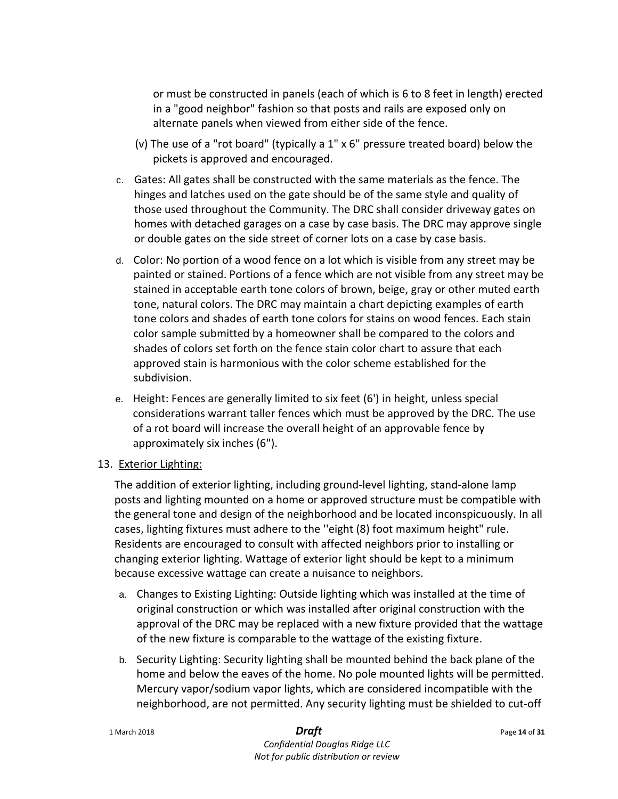or must be constructed in panels (each of which is 6 to 8 feet in length) erected in a "good neighbor" fashion so that posts and rails are exposed only on alternate panels when viewed from either side of the fence.

- (v) The use of a "rot board" (typically a 1" x 6" pressure treated board) below the pickets is approved and encouraged.
- c. Gates: All gates shall be constructed with the same materials as the fence. The hinges and latches used on the gate should be of the same style and quality of those used throughout the Community. The DRC shall consider driveway gates on homes with detached garages on a case by case basis. The DRC may approve single or double gates on the side street of corner lots on a case by case basis.
- d. Color: No portion of a wood fence on a lot which is visible from any street may be painted or stained. Portions of a fence which are not visible from any street may be stained in acceptable earth tone colors of brown, beige, gray or other muted earth tone, natural colors. The DRC may maintain a chart depicting examples of earth tone colors and shades of earth tone colors for stains on wood fences. Each stain color sample submitted by a homeowner shall be compared to the colors and shades of colors set forth on the fence stain color chart to assure that each approved stain is harmonious with the color scheme established for the subdivision.
- e. Height: Fences are generally limited to six feet (6') in height, unless special considerations warrant taller fences which must be approved by the DRC. The use of a rot board will increase the overall height of an approvable fence by approximately six inches (6").

# 13. Exterior Lighting:

The addition of exterior lighting, including ground-level lighting, stand-alone lamp posts and lighting mounted on a home or approved structure must be compatible with the general tone and design of the neighborhood and be located inconspicuously. In all cases, lighting fixtures must adhere to the ''eight (8) foot maximum height" rule. Residents are encouraged to consult with affected neighbors prior to installing or changing exterior lighting. Wattage of exterior light should be kept to a minimum because excessive wattage can create a nuisance to neighbors.

- a. Changes to Existing Lighting: Outside lighting which was installed at the time of original construction or which was installed after original construction with the approval of the DRC may be replaced with a new fixture provided that the wattage of the new fixture is comparable to the wattage of the existing fixture.
- b. Security Lighting: Security lighting shall be mounted behind the back plane of the home and below the eaves of the home. No pole mounted lights will be permitted. Mercury vapor/sodium vapor lights, which are considered incompatible with the neighborhood, are not permitted. Any security lighting must be shielded to cut-off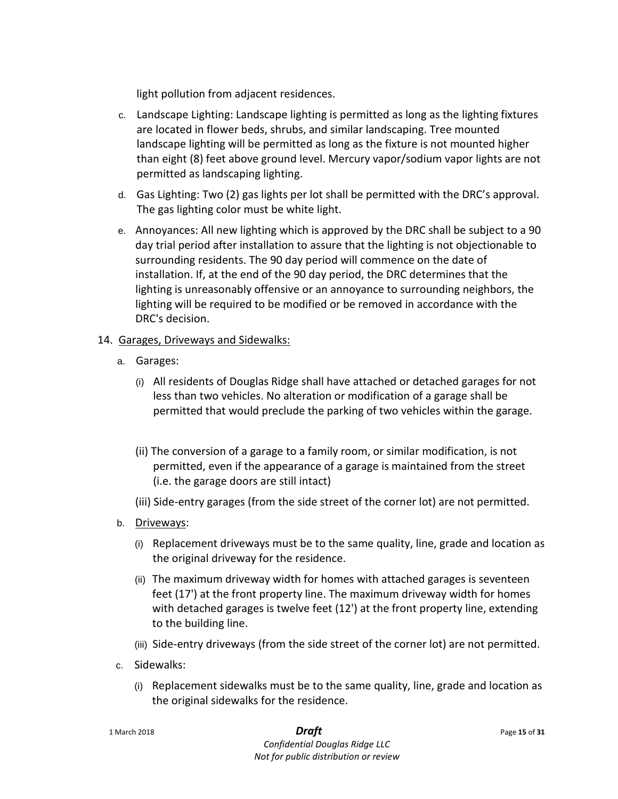light pollution from adjacent residences.

- c. Landscape Lighting: Landscape lighting is permitted as long as the lighting fixtures are located in flower beds, shrubs, and similar landscaping. Tree mounted landscape lighting will be permitted as long as the fixture is not mounted higher than eight (8) feet above ground level. Mercury vapor/sodium vapor lights are not permitted as landscaping lighting.
- d. Gas Lighting: Two (2) gas lights per lot shall be permitted with the DRC's approval. The gas lighting color must be white light.
- e. Annoyances: All new lighting which is approved by the DRC shall be subject to a 90 day trial period after installation to assure that the lighting is not objectionable to surrounding residents. The 90 day period will commence on the date of installation. If, at the end of the 90 day period, the DRC determines that the lighting is unreasonably offensive or an annoyance to surrounding neighbors, the lighting will be required to be modified or be removed in accordance with the DRC's decision.
- 14. Garages, Driveways and Sidewalks:
	- a. Garages:
		- (i) All residents of Douglas Ridge shall have attached or detached garages for not less than two vehicles. No alteration or modification of a garage shall be permitted that would preclude the parking of two vehicles within the garage.
		- (ii) The conversion of a garage to a family room, or similar modification, is not permitted, even if the appearance of a garage is maintained from the street (i.e. the garage doors are still intact)
		- (iii) Side-entry garages (from the side street of the corner lot) are not permitted.
	- b. Driveways:
		- (i) Replacement driveways must be to the same quality, line, grade and location as the original driveway for the residence.
		- (ii) The maximum driveway width for homes with attached garages is seventeen feet (17') at the front property line. The maximum driveway width for homes with detached garages is twelve feet (12') at the front property line, extending to the building line.
		- (iii) Side-entry driveways (from the side street of the corner lot) are not permitted.
	- c. Sidewalks:
		- (i) Replacement sidewalks must be to the same quality, line, grade and location as the original sidewalks for the residence.

| 1 March 2018 | <b>Draft</b> | Page 15 of 31 |
|--------------|--------------|---------------|
|--------------|--------------|---------------|

*Confidential Douglas Ridge LLC Not for public distribution or review*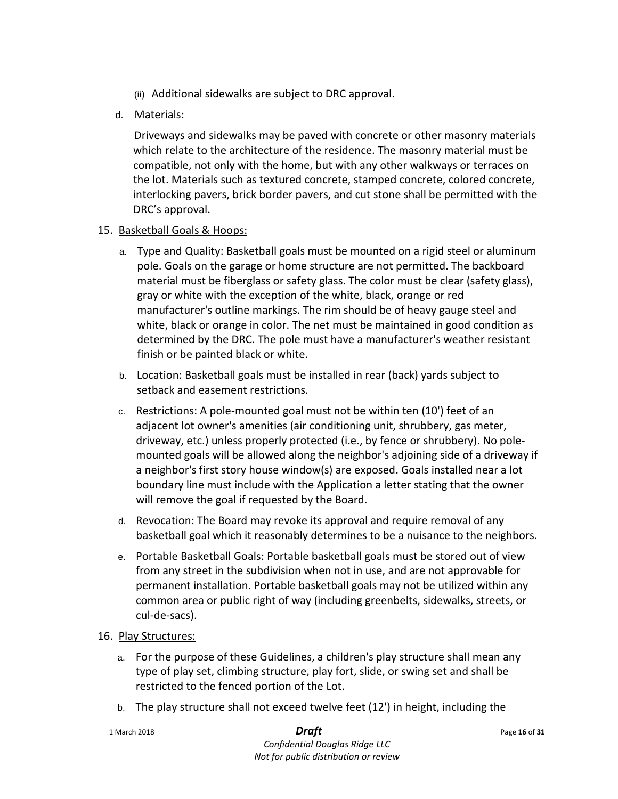- (ii) Additional sidewalks are subject to DRC approval.
- d. Materials:

Driveways and sidewalks may be paved with concrete or other masonry materials which relate to the architecture of the residence. The masonry material must be compatible, not only with the home, but with any other walkways or terraces on the lot. Materials such as textured concrete, stamped concrete, colored concrete, interlocking pavers, brick border pavers, and cut stone shall be permitted with the DRC's approval.

### 15. Basketball Goals & Hoops:

- a. Type and Quality: Basketball goals must be mounted on a rigid steel or aluminum pole. Goals on the garage or home structure are not permitted. The backboard material must be fiberglass or safety glass. The color must be clear (safety glass), gray or white with the exception of the white, black, orange or red manufacturer's outline markings. The rim should be of heavy gauge steel and white, black or orange in color. The net must be maintained in good condition as determined by the DRC. The pole must have a manufacturer's weather resistant finish or be painted black or white.
- b. Location: Basketball goals must be installed in rear (back) yards subject to setback and easement restrictions.
- c. Restrictions: A pole-mounted goal must not be within ten (10') feet of an adjacent lot owner's amenities (air conditioning unit, shrubbery, gas meter, driveway, etc.) unless properly protected (i.e., by fence or shrubbery). No polemounted goals will be allowed along the neighbor's adjoining side of a driveway if a neighbor's first story house window(s) are exposed. Goals installed near a lot boundary line must include with the Application a letter stating that the owner will remove the goal if requested by the Board.
- d. Revocation: The Board may revoke its approval and require removal of any basketball goal which it reasonably determines to be a nuisance to the neighbors.
- e. Portable Basketball Goals: Portable basketball goals must be stored out of view from any street in the subdivision when not in use, and are not approvable for permanent installation. Portable basketball goals may not be utilized within any common area or public right of way (including greenbelts, sidewalks, streets, or cul-de-sacs).
- 16. Play Structures:
	- a. For the purpose of these Guidelines, a children's play structure shall mean any type of play set, climbing structure, play fort, slide, or swing set and shall be restricted to the fenced portion of the Lot.
	- b. The play structure shall not exceed twelve feet (12') in height, including the

1 March 2018 *Draft* Page **<sup>16</sup>** of **<sup>31</sup>**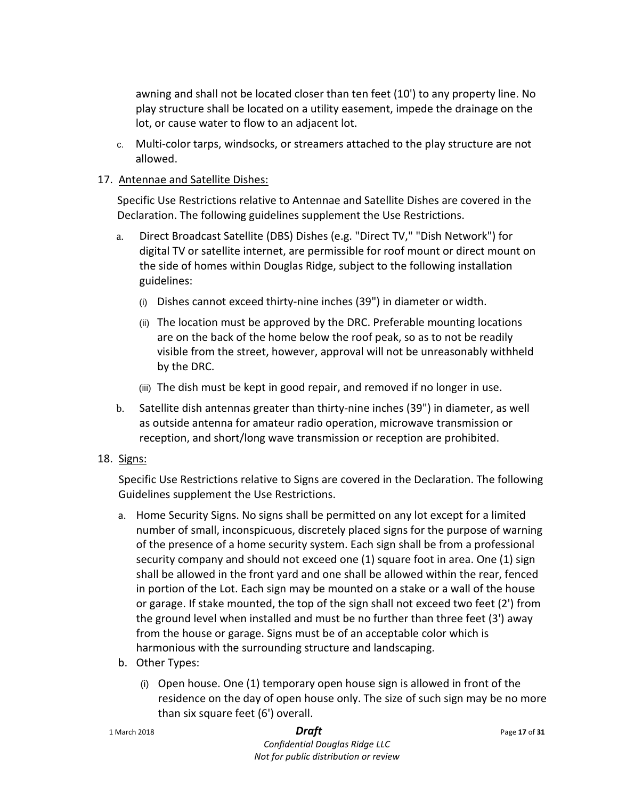awning and shall not be located closer than ten feet (10') to any property line. No play structure shall be located on a utility easement, impede the drainage on the lot, or cause water to flow to an adjacent lot.

c. Multi-color tarps, windsocks, or streamers attached to the play structure are not allowed.

# 17. Antennae and Satellite Dishes:

Specific Use Restrictions relative to Antennae and Satellite Dishes are covered in the Declaration. The following guidelines supplement the Use Restrictions.

- a. Direct Broadcast Satellite (DBS) Dishes (e.g. "Direct TV," "Dish Network") for digital TV or satellite internet, are permissible for roof mount or direct mount on the side of homes within Douglas Ridge, subject to the following installation guidelines:
	- (i) Dishes cannot exceed thirty-nine inches (39") in diameter or width.
	- (ii) The location must be approved by the DRC. Preferable mounting locations are on the back of the home below the roof peak, so as to not be readily visible from the street, however, approval will not be unreasonably withheld by the DRC.
	- (iii) The dish must be kept in good repair, and removed if no longer in use.
- b. Satellite dish antennas greater than thirty-nine inches (39") in diameter, as well as outside antenna for amateur radio operation, microwave transmission or reception, and short/long wave transmission or reception are prohibited.
- 18. Signs:

Specific Use Restrictions relative to Signs are covered in the Declaration. The following Guidelines supplement the Use Restrictions.

- a. Home Security Signs. No signs shall be permitted on any lot except for a limited number of small, inconspicuous, discretely placed signs for the purpose of warning of the presence of a home security system. Each sign shall be from a professional security company and should not exceed one (1) square foot in area. One (1) sign shall be allowed in the front yard and one shall be allowed within the rear, fenced in portion of the Lot. Each sign may be mounted on a stake or a wall of the house or garage. If stake mounted, the top of the sign shall not exceed two feet (2') from the ground level when installed and must be no further than three feet (3') away from the house or garage. Signs must be of an acceptable color which is harmonious with the surrounding structure and landscaping.
- b. Other Types:
	- (i) Open house. One (1) temporary open house sign is allowed in front of the residence on the day of open house only. The size of such sign may be no more than six square feet (6') overall.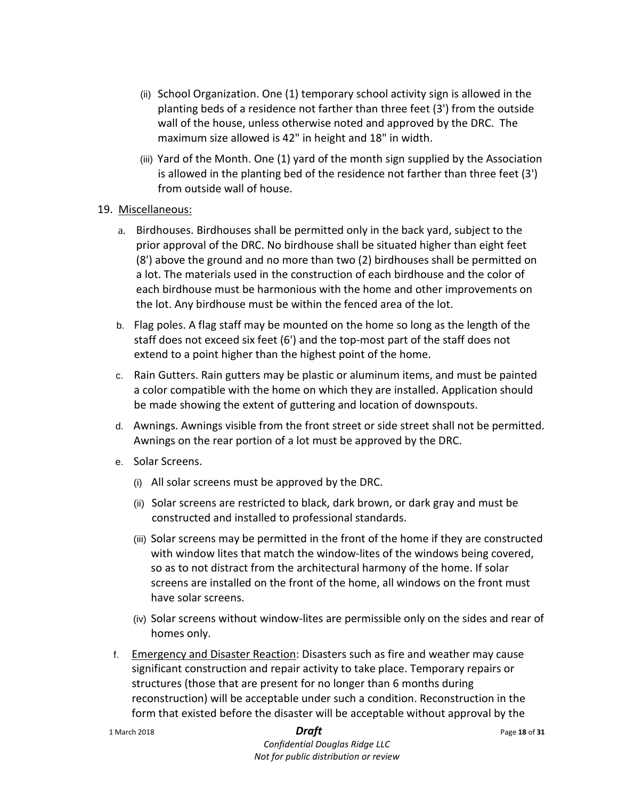- (ii) School Organization. One (1) temporary school activity sign is allowed in the planting beds of a residence not farther than three feet (3') from the outside wall of the house, unless otherwise noted and approved by the DRC. The maximum size allowed is 42" in height and 18" in width.
- (iii) Yard of the Month. One (1) yard of the month sign supplied by the Association is allowed in the planting bed of the residence not farther than three feet (3') from outside wall of house.

### 19. Miscellaneous:

- a. Birdhouses. Birdhouses shall be permitted only in the back yard, subject to the prior approval of the DRC. No birdhouse shall be situated higher than eight feet (8') above the ground and no more than two (2) birdhouses shall be permitted on a lot. The materials used in the construction of each birdhouse and the color of each birdhouse must be harmonious with the home and other improvements on the lot. Any birdhouse must be within the fenced area of the lot.
- b. Flag poles. A flag staff may be mounted on the home so long as the length of the staff does not exceed six feet (6') and the top-most part of the staff does not extend to a point higher than the highest point of the home.
- c. Rain Gutters. Rain gutters may be plastic or aluminum items, and must be painted a color compatible with the home on which they are installed. Application should be made showing the extent of guttering and location of downspouts.
- d. Awnings. Awnings visible from the front street or side street shall not be permitted. Awnings on the rear portion of a lot must be approved by the DRC.
- e. Solar Screens.
	- (i) All solar screens must be approved by the DRC.
	- (ii) Solar screens are restricted to black, dark brown, or dark gray and must be constructed and installed to professional standards.
	- (iii) Solar screens may be permitted in the front of the home if they are constructed with window lites that match the window-lites of the windows being covered, so as to not distract from the architectural harmony of the home. If solar screens are installed on the front of the home, all windows on the front must have solar screens.
	- (iv) Solar screens without window-lites are permissible only on the sides and rear of homes only.
- f. Emergency and Disaster Reaction: Disasters such as fire and weather may cause significant construction and repair activity to take place. Temporary repairs or structures (those that are present for no longer than 6 months during reconstruction) will be acceptable under such a condition. Reconstruction in the form that existed before the disaster will be acceptable without approval by the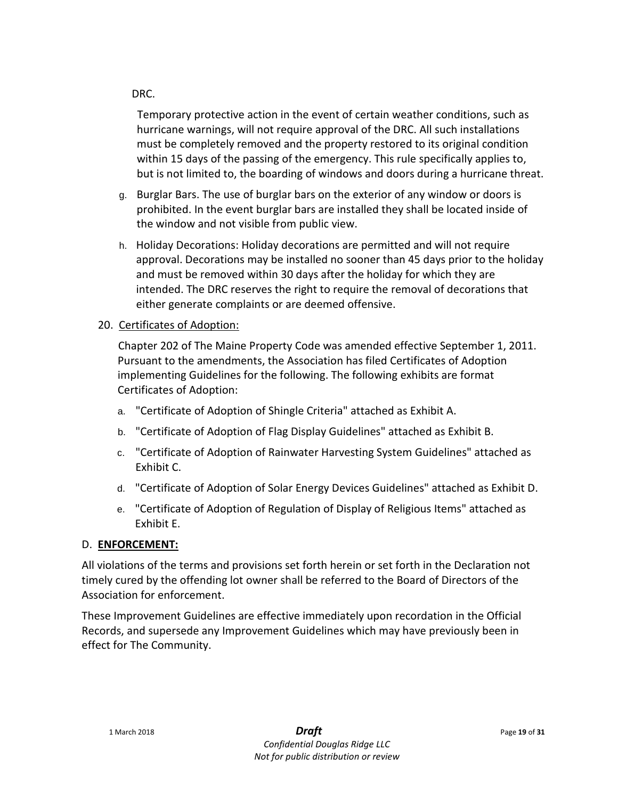### DRC.

Temporary protective action in the event of certain weather conditions, such as hurricane warnings, will not require approval of the DRC. All such installations must be completely removed and the property restored to its original condition within 15 days of the passing of the emergency. This rule specifically applies to, but is not limited to, the boarding of windows and doors during a hurricane threat.

- g. Burglar Bars. The use of burglar bars on the exterior of any window or doors is prohibited. In the event burglar bars are installed they shall be located inside of the window and not visible from public view.
- h. Holiday Decorations: Holiday decorations are permitted and will not require approval. Decorations may be installed no sooner than 45 days prior to the holiday and must be removed within 30 days after the holiday for which they are intended. The DRC reserves the right to require the removal of decorations that either generate complaints or are deemed offensive.
- 20. Certificates of Adoption:

Chapter 202 of The Maine Property Code was amended effective September 1, 2011. Pursuant to the amendments, the Association has filed Certificates of Adoption implementing Guidelines for the following. The following exhibits are format Certificates of Adoption:

- a. "Certificate of Adoption of Shingle Criteria" attached as Exhibit A.
- b. "Certificate of Adoption of Flag Display Guidelines" attached as Exhibit B.
- c. "Certificate of Adoption of Rainwater Harvesting System Guidelines" attached as Exhibit C.
- d. "Certificate of Adoption of Solar Energy Devices Guidelines" attached as Exhibit D.
- e. "Certificate of Adoption of Regulation of Display of Religious Items" attached as Exhibit E.

### D. **ENFORCEMENT:**

All violations of the terms and provisions set forth herein or set forth in the Declaration not timely cured by the offending lot owner shall be referred to the Board of Directors of the Association for enforcement.

These Improvement Guidelines are effective immediately upon recordation in the Official Records, and supersede any Improvement Guidelines which may have previously been in effect for The Community.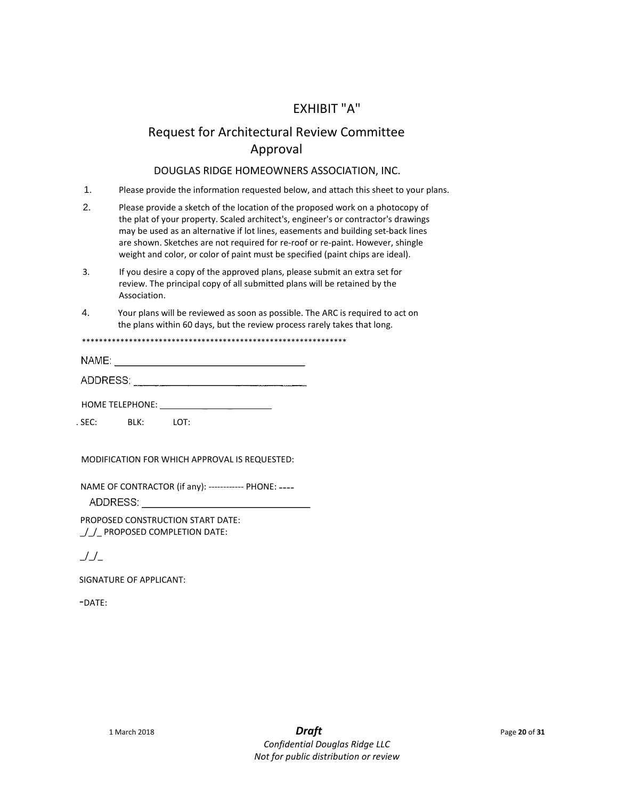# EXHIBIT "A"

# Request for Architectural Review Committee Approval

### DOUGLAS RIDGE HOMEOWNERS ASSOCIATION, INC.

- 1. Please provide the information requested below, and attach this sheet to your plans.
- 2. Please provide a sketch of the location of the proposed work on a photocopy of the plat of your property. Scaled architect's, engineer's or contractor's drawings may be used as an alternative if lot lines, easements and building set-back lines are shown. Sketches are not required for re-roof or re-paint. However, shingle weight and color, or color of paint must be specified (paint chips are ideal).
- 3. If you desire a copy of the approved plans, please submit an extra set for review. The principal copy of all submitted plans will be retained by the Association.
- 4. Your plans will be reviewed as soon as possible. The ARC is required to act on the plans within 60 days, but the review process rarely takes that long.

\*\*\*\*\*\*\*\*\*\*\*\*\*\*\*\*\*\*\*\*\*\*\*\*\*\*\*\*\*\*\*\*\*\*\*\*\*\*\*\*\*\*\*\*\*\*\*\*\*\*\*\*\*\*\*\*\*\*\*\*\*\*

| and the contract of the contract of<br>N,<br> |  |
|-----------------------------------------------|--|
|                                               |  |

HOME TELEPHONE:

. SEC: BLK: LOT:

MODIFICATION FOR WHICH APPROVAL IS REQUESTED:

NAME OF CONTRACTOR (if any): ------------ PHONE: ----

ADDRESS:

PROPOSED CONSTRUCTION START DATE: / / PROPOSED COMPLETION DATE:

 $\mathcal{L}/\mathcal{L}$ 

SIGNATURE OF APPLICANT:

-DATE: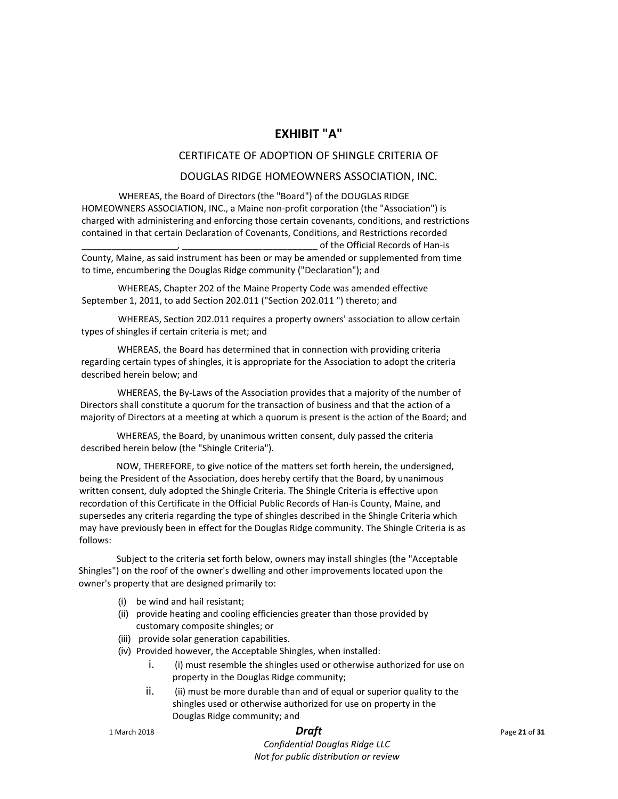### **EXHIBIT "A"**

### CERTIFICATE OF ADOPTION OF SHINGLE CRITERIA OF

### DOUGLAS RIDGE HOMEOWNERS ASSOCIATION, INC.

WHEREAS, the Board of Directors (the "Board") of the DOUGLAS RIDGE HOMEOWNERS ASSOCIATION, INC., a Maine non-profit corporation (the "Association") is charged with administering and enforcing those certain covenants, conditions, and restrictions contained in that certain Declaration of Covenants, Conditions, and Restrictions recorded of the Official Records of Han-is

County, Maine, as said instrument has been or may be amended or supplemented from time to time, encumbering the Douglas Ridge community ("Declaration"); and

WHEREAS, Chapter 202 of the Maine Property Code was amended effective September 1, 2011, to add Section 202.011 ("Section 202.011 ") thereto; and

WHEREAS, Section 202.011 requires a property owners' association to allow certain types of shingles if certain criteria is met; and

WHEREAS, the Board has determined that in connection with providing criteria regarding certain types of shingles, it is appropriate for the Association to adopt the criteria described herein below; and

WHEREAS, the By-Laws of the Association provides that a majority of the number of Directors shall constitute a quorum for the transaction of business and that the action of a majority of Directors at a meeting at which a quorum is present is the action of the Board; and

WHEREAS, the Board, by unanimous written consent, duly passed the criteria described herein below (the "Shingle Criteria").

NOW, THEREFORE, to give notice of the matters set forth herein, the undersigned, being the President of the Association, does hereby certify that the Board, by unanimous written consent, duly adopted the Shingle Criteria. The Shingle Criteria is effective upon recordation of this Certificate in the Official Public Records of Han-is County, Maine, and supersedes any criteria regarding the type of shingles described in the Shingle Criteria which may have previously been in effect for the Douglas Ridge community. The Shingle Criteria is as follows:

Subject to the criteria set forth below, owners may install shingles (the "Acceptable Shingles") on the roof of the owner's dwelling and other improvements located upon the owner's property that are designed primarily to:

- (i) be wind and hail resistant;
- (ii) provide heating and cooling efficiencies greater than those provided by customary composite shingles; or
- (iii) provide solar generation capabilities.
- (iv) Provided however, the Acceptable Shingles, when installed:
	- i. (i) must resemble the shingles used or otherwise authorized for use on property in the Douglas Ridge community;
	- ii. (ii) must be more durable than and of equal or superior quality to the shingles used or otherwise authorized for use on property in the Douglas Ridge community; and

1 March 2018 *Draft* Page **<sup>21</sup>** of **<sup>31</sup>**

*Confidential Douglas Ridge LLC Not for public distribution or review*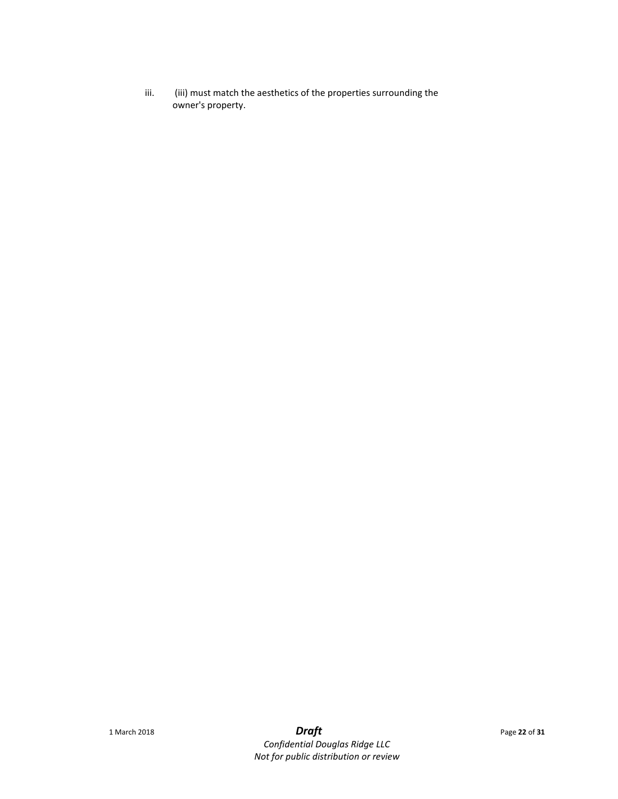iii. (iii) must match the aesthetics of the properties surrounding the owner's property.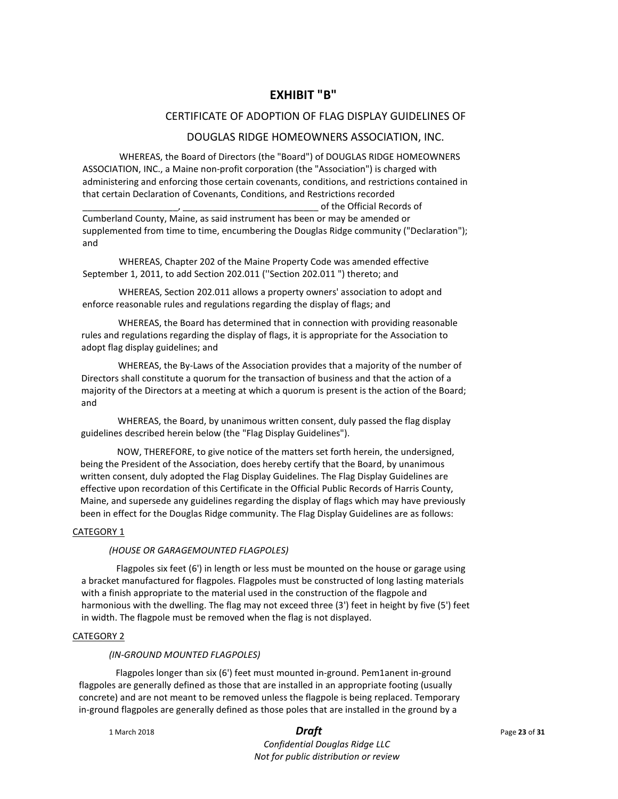### **EXHIBIT "B"**

### CERTIFICATE OF ADOPTION OF FLAG DISPLAY GUIDELINES OF

### DOUGLAS RIDGE HOMEOWNERS ASSOCIATION, INC.

WHEREAS, the Board of Directors (the "Board") of DOUGLAS RIDGE HOMEOWNERS ASSOCIATION, INC., a Maine non-profit corporation (the "Association") is charged with administering and enforcing those certain covenants, conditions, and restrictions contained in that certain Declaration of Covenants, Conditions, and Restrictions recorded

\_\_\_\_\_\_\_\_\_\_\_\_\_\_\_\_\_\_\_, \_\_\_\_\_\_\_\_\_\_\_\_\_\_\_\_\_\_\_\_\_\_\_\_\_\_\_ of the Official Records of Cumberland County, Maine, as said instrument has been or may be amended or supplemented from time to time, encumbering the Douglas Ridge community ("Declaration"); and

WHEREAS, Chapter 202 of the Maine Property Code was amended effective September 1, 2011, to add Section 202.011 (''Section 202.011 ") thereto; and

WHEREAS, Section 202.011 allows a property owners' association to adopt and enforce reasonable rules and regulations regarding the display of flags; and

WHEREAS, the Board has determined that in connection with providing reasonable rules and regulations regarding the display of flags, it is appropriate for the Association to adopt flag display guidelines; and

WHEREAS, the By-Laws of the Association provides that a majority of the number of Directors shall constitute a quorum for the transaction of business and that the action of a majority of the Directors at a meeting at which a quorum is present is the action of the Board; and

WHEREAS, the Board, by unanimous written consent, duly passed the flag display guidelines described herein below (the "Flag Display Guidelines").

NOW, THEREFORE, to give notice of the matters set forth herein, the undersigned, being the President of the Association, does hereby certify that the Board, by unanimous written consent, duly adopted the Flag Display Guidelines. The Flag Display Guidelines are effective upon recordation of this Certificate in the Official Public Records of Harris County, Maine, and supersede any guidelines regarding the display of flags which may have previously been in effect for the Douglas Ridge community. The Flag Display Guidelines are as follows:

### CATEGORY<sub>1</sub>

### *(HOUSE OR GARAGEMOUNTED FLAGPOLES)*

Flagpoles six feet (6') in length or less must be mounted on the house or garage using a bracket manufactured for flagpoles. Flagpoles must be constructed of long lasting materials with a finish appropriate to the material used in the construction of the flagpole and harmonious with the dwelling. The flag may not exceed three (3') feet in height by five (5') feet in width. The flagpole must be removed when the flag is not displayed.

### CATEGORY 2

### *(IN-GROUND MOUNTED FLAGPOLES)*

Flagpoles longer than six (6') feet must mounted in-ground. Pem1anent in-ground flagpoles are generally defined as those that are installed in an appropriate footing (usually concrete) and are not meant to be removed unless the flagpole is being replaced. Temporary in-ground flagpoles are generally defined as those poles that are installed in the ground by a

1 March 2018 *Draft* Page **<sup>23</sup>** of **<sup>31</sup>**

*Confidential Douglas Ridge LLC Not for public distribution or review*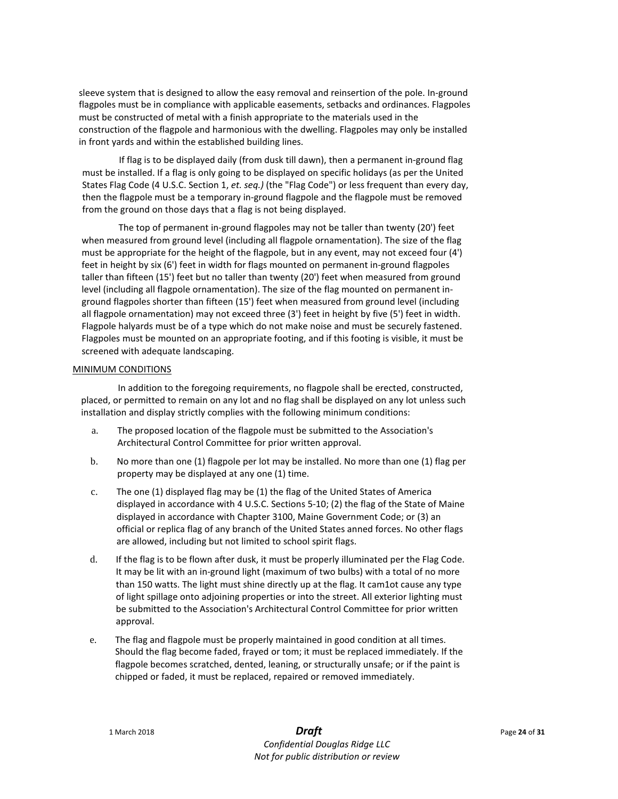sleeve system that is designed to allow the easy removal and reinsertion of the pole. In-ground flagpoles must be in compliance with applicable easements, setbacks and ordinances. Flagpoles must be constructed of metal with a finish appropriate to the materials used in the construction of the flagpole and harmonious with the dwelling. Flagpoles may only be installed in front yards and within the established building lines.

If flag is to be displayed daily (from dusk till dawn), then a permanent in-ground flag must be installed. If a flag is only going to be displayed on specific holidays (as per the United States Flag Code (4 U.S.C. Section 1, *et. seq.)* (the "Flag Code") or less frequent than every day, then the flagpole must be a temporary in-ground flagpole and the flagpole must be removed from the ground on those days that a flag is not being displayed.

The top of permanent in-ground flagpoles may not be taller than twenty (20') feet when measured from ground level (including all flagpole ornamentation). The size of the flag must be appropriate for the height of the flagpole, but in any event, may not exceed four (4') feet in height by six (6') feet in width for flags mounted on permanent in-ground flagpoles taller than fifteen (15') feet but no taller than twenty (20') feet when measured from ground level (including all flagpole ornamentation). The size of the flag mounted on permanent inground flagpoles shorter than fifteen (15') feet when measured from ground level (including all flagpole ornamentation) may not exceed three (3') feet in height by five (5') feet in width. Flagpole halyards must be of a type which do not make noise and must be securely fastened. Flagpoles must be mounted on an appropriate footing, and if this footing is visible, it must be screened with adequate landscaping.

### MINIMUM CONDITIONS

In addition to the foregoing requirements, no flagpole shall be erected, constructed, placed, or permitted to remain on any lot and no flag shall be displayed on any lot unless such installation and display strictly complies with the following minimum conditions:

- a. The proposed location of the flagpole must be submitted to the Association's Architectural Control Committee for prior written approval.
- b. No more than one (1) flagpole per lot may be installed. No more than one (1) flag per property may be displayed at any one (1) time.
- c. The one (1) displayed flag may be (1) the flag of the United States of America displayed in accordance with 4 U.S.C. Sections 5-10; (2) the flag of the State of Maine displayed in accordance with Chapter 3100, Maine Government Code; or (3) an official or replica flag of any branch of the United States anned forces. No other flags are allowed, including but not limited to school spirit flags.
- d. If the flag is to be flown after dusk, it must be properly illuminated per the Flag Code. It may be lit with an in-ground light (maximum of two bulbs) with a total of no more than 150 watts. The light must shine directly up at the flag. It cam1ot cause any type of light spillage onto adjoining properties or into the street. All exterior lighting must be submitted to the Association's Architectural Control Committee for prior written approval.
- e. The flag and flagpole must be properly maintained in good condition at all times. Should the flag become faded, frayed or tom; it must be replaced immediately. If the flagpole becomes scratched, dented, leaning, or structurally unsafe; or if the paint is chipped or faded, it must be replaced, repaired or removed immediately.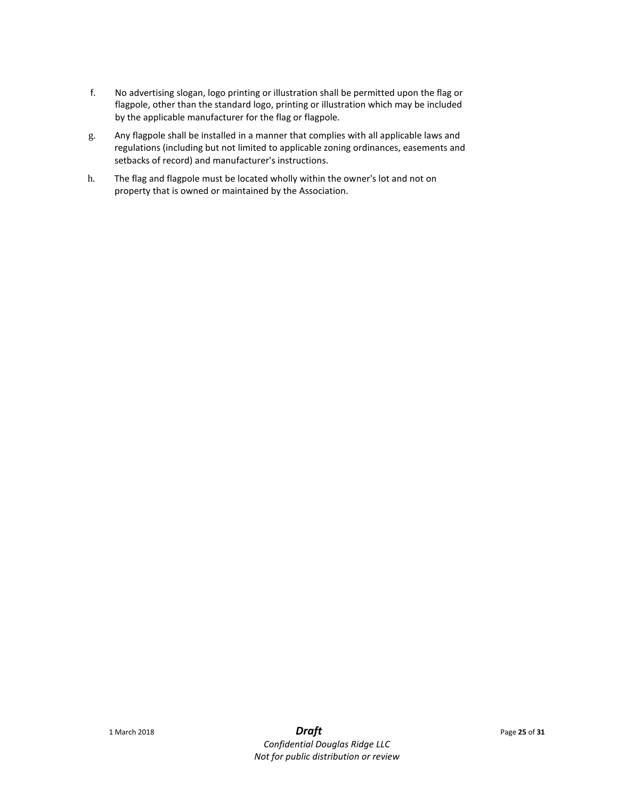- f. No advertising slogan, logo printing or illustration shall be permitted upon the flag or flagpole, other than the standard logo, printing or illustration which may be included by the applicable manufacturer for the flag or flagpole.
- g. Any flagpole shall be installed in a manner that complies with all applicable laws and regulations (including but not limited to applicable zoning ordinances, easements and setbacks of record) and manufacturer's instructions.
- h. The flag and flagpole must be located wholly within the owner's lot and not on property that is owned or maintained by the Association.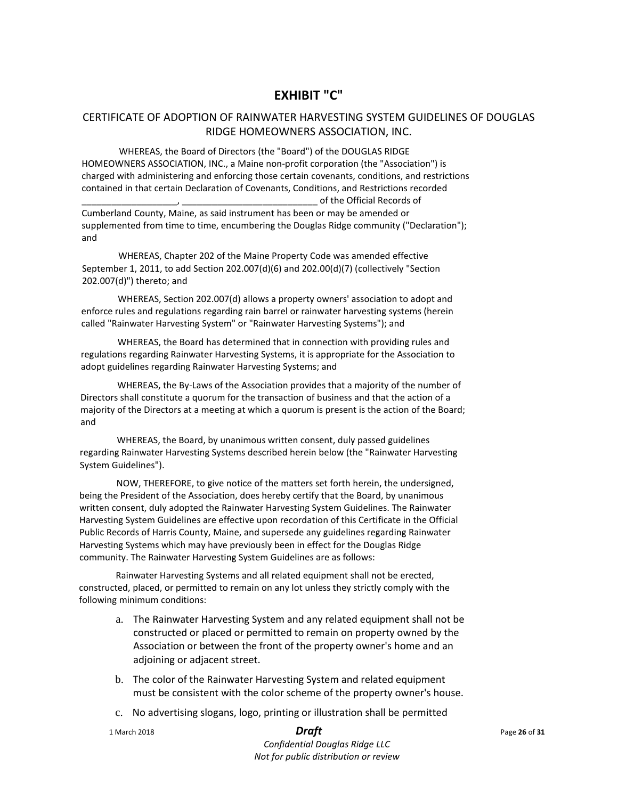# **EXHIBIT "C"**

### CERTIFICATE OF ADOPTION OF RAINWATER HARVESTING SYSTEM GUIDELINES OF DOUGLAS RIDGE HOMEOWNERS ASSOCIATION, INC.

WHEREAS, the Board of Directors (the "Board") of the DOUGLAS RIDGE HOMEOWNERS ASSOCIATION, INC., a Maine non-profit corporation (the "Association") is charged with administering and enforcing those certain covenants, conditions, and restrictions contained in that certain Declaration of Covenants, Conditions, and Restrictions recorded \_\_\_\_\_\_\_\_\_\_\_\_\_\_\_\_\_\_\_, \_\_\_\_\_\_\_\_\_\_\_\_\_\_\_\_\_\_\_\_\_\_\_\_\_\_\_ of the Official Records of

Cumberland County, Maine, as said instrument has been or may be amended or supplemented from time to time, encumbering the Douglas Ridge community ("Declaration"); and

WHEREAS, Chapter 202 of the Maine Property Code was amended effective September 1, 2011, to add Section 202.007(d)(6) and 202.00(d)(7) (collectively "Section 202.007(d)") thereto; and

WHEREAS, Section 202.007(d) allows a property owners' association to adopt and enforce rules and regulations regarding rain barrel or rainwater harvesting systems (herein called "Rainwater Harvesting System" or "Rainwater Harvesting Systems"); and

WHEREAS, the Board has determined that in connection with providing rules and regulations regarding Rainwater Harvesting Systems, it is appropriate for the Association to adopt guidelines regarding Rainwater Harvesting Systems; and

WHEREAS, the By-Laws of the Association provides that a majority of the number of Directors shall constitute a quorum for the transaction of business and that the action of a majority of the Directors at a meeting at which a quorum is present is the action of the Board; and

WHEREAS, the Board, by unanimous written consent, duly passed guidelines regarding Rainwater Harvesting Systems described herein below (the "Rainwater Harvesting System Guidelines").

NOW, THEREFORE, to give notice of the matters set forth herein, the undersigned, being the President of the Association, does hereby certify that the Board, by unanimous written consent, duly adopted the Rainwater Harvesting System Guidelines. The Rainwater Harvesting System Guidelines are effective upon recordation of this Certificate in the Official Public Records of Harris County, Maine, and supersede any guidelines regarding Rainwater Harvesting Systems which may have previously been in effect for the Douglas Ridge community. The Rainwater Harvesting System Guidelines are as follows:

Rainwater Harvesting Systems and all related equipment shall not be erected, constructed, placed, or permitted to remain on any lot unless they strictly comply with the following minimum conditions:

- a. The Rainwater Harvesting System and any related equipment shall not be constructed or placed or permitted to remain on property owned by the Association or between the front of the property owner's home and an adjoining or adjacent street.
- b. The color of the Rainwater Harvesting System and related equipment must be consistent with the color scheme of the property owner's house.
- c. No advertising slogans, logo, printing or illustration shall be permitted

1 March 2018 *Draft* Page **<sup>26</sup>** of **<sup>31</sup>**

*Confidential Douglas Ridge LLC Not for public distribution or review*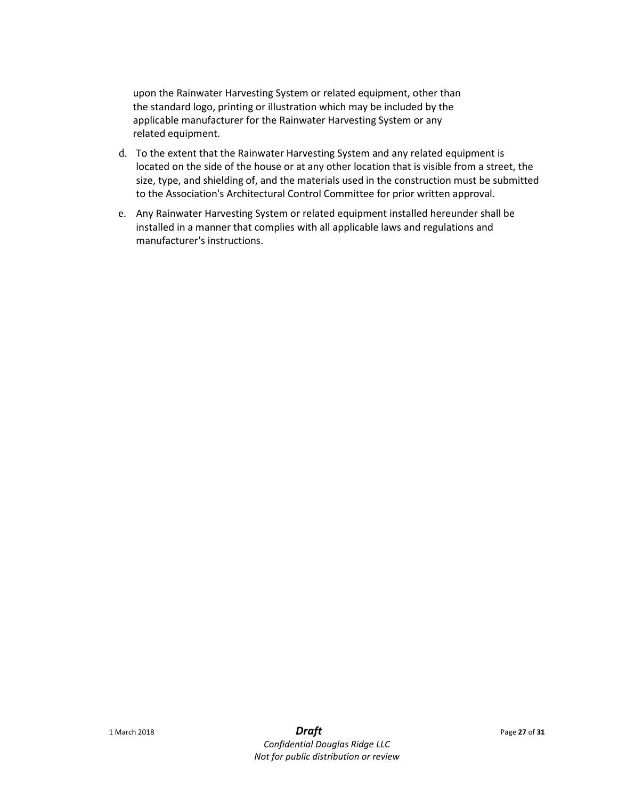upon the Rainwater Harvesting System or related equipment, other than the standard logo, printing or illustration which may be included by the applicable manufacturer for the Rainwater Harvesting System or any related equipment.

- d. To the extent that the Rainwater Harvesting System and any related equipment is located on the side of the house or at any other location that is visible from a street, the size, type, and shielding of, and the materials used in the construction must be submitted to the Association's Architectural Control Committee for prior written approval.
- e. Any Rainwater Harvesting System or related equipment installed hereunder shall be installed in a manner that complies with all applicable laws and regulations and manufacturer's instructions.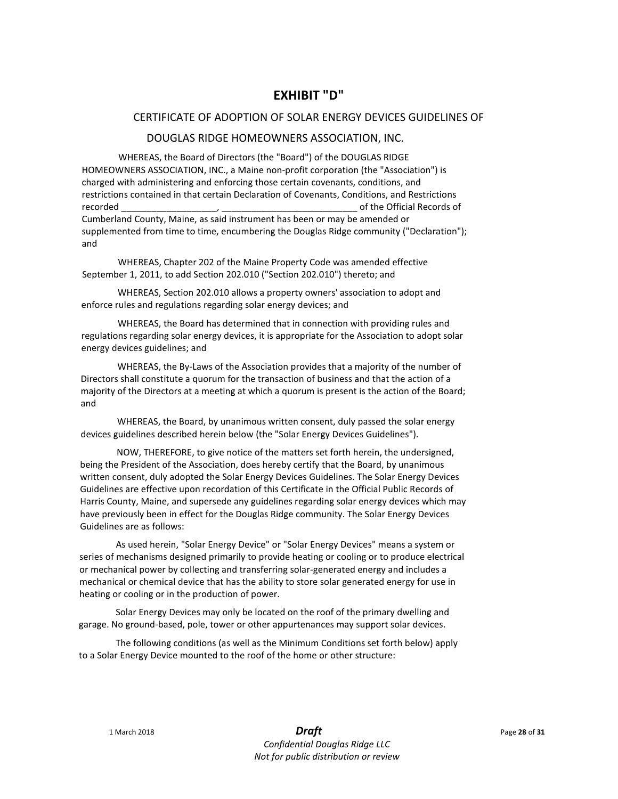# **EXHIBIT "D"**

### CERTIFICATE OF ADOPTION OF SOLAR ENERGY DEVICES GUIDELINES OF

### DOUGLAS RIDGE HOMEOWNERS ASSOCIATION, INC.

WHEREAS, the Board of Directors (the "Board") of the DOUGLAS RIDGE HOMEOWNERS ASSOCIATION, INC., a Maine non-profit corporation (the "Association") is charged with administering and enforcing those certain covenants, conditions, and restrictions contained in that certain Declaration of Covenants, Conditions, and Restrictions recorded The cordes of the Official Records of the Official Records of Cumberland County, Maine, as said instrument has been or may be amended or supplemented from time to time, encumbering the Douglas Ridge community ("Declaration"); and

WHEREAS, Chapter 202 of the Maine Property Code was amended effective September 1, 2011, to add Section 202.010 ("Section 202.010") thereto; and

WHEREAS, Section 202.010 allows a property owners' association to adopt and enforce rules and regulations regarding solar energy devices; and

WHEREAS, the Board has determined that in connection with providing rules and regulations regarding solar energy devices, it is appropriate for the Association to adopt solar energy devices guidelines; and

WHEREAS, the By-Laws of the Association provides that a majority of the number of Directors shall constitute a quorum for the transaction of business and that the action of a majority of the Directors at a meeting at which a quorum is present is the action of the Board; and

WHEREAS, the Board, by unanimous written consent, duly passed the solar energy devices guidelines described herein below (the "Solar Energy Devices Guidelines").

NOW, THEREFORE, to give notice of the matters set forth herein, the undersigned, being the President of the Association, does hereby certify that the Board, by unanimous written consent, duly adopted the Solar Energy Devices Guidelines. The Solar Energy Devices Guidelines are effective upon recordation of this Certificate in the Official Public Records of Harris County, Maine, and supersede any guidelines regarding solar energy devices which may have previously been in effect for the Douglas Ridge community. The Solar Energy Devices Guidelines are as follows:

As used herein, "Solar Energy Device" or "Solar Energy Devices" means a system or series of mechanisms designed primarily to provide heating or cooling or to produce electrical or mechanical power by collecting and transferring solar-generated energy and includes a mechanical or chemical device that has the ability to store solar generated energy for use in heating or cooling or in the production of power.

Solar Energy Devices may only be located on the roof of the primary dwelling and garage. No ground-based, pole, tower or other appurtenances may support solar devices.

The following conditions (as well as the Minimum Conditions set forth below) apply to a Solar Energy Device mounted to the roof of the home or other structure: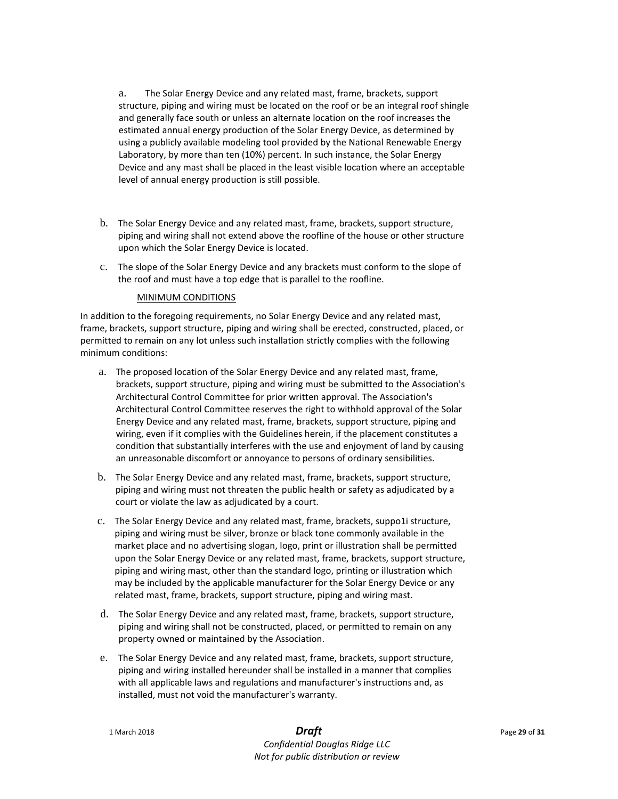a. The Solar Energy Device and any related mast, frame, brackets, support structure, piping and wiring must be located on the roof or be an integral roof shingle and generally face south or unless an alternate location on the roof increases the estimated annual energy production of the Solar Energy Device, as determined by using a publicly available modeling tool provided by the National Renewable Energy Laboratory, by more than ten (10%) percent. In such instance, the Solar Energy Device and any mast shall be placed in the least visible location where an acceptable level of annual energy production is still possible.

- b. The Solar Energy Device and any related mast, frame, brackets, support structure, piping and wiring shall not extend above the roofline of the house or other structure upon which the Solar Energy Device is located.
- c. The slope of the Solar Energy Device and any brackets must conform to the slope of the roof and must have a top edge that is parallel to the roofline.

### MINIMUM CONDITIONS

In addition to the foregoing requirements, no Solar Energy Device and any related mast, frame, brackets, support structure, piping and wiring shall be erected, constructed, placed, or permitted to remain on any lot unless such installation strictly complies with the following minimum conditions:

- a. The proposed location of the Solar Energy Device and any related mast, frame, brackets, support structure, piping and wiring must be submitted to the Association's Architectural Control Committee for prior written approval. The Association's Architectural Control Committee reserves the right to withhold approval of the Solar Energy Device and any related mast, frame, brackets, support structure, piping and wiring, even if it complies with the Guidelines herein, if the placement constitutes a condition that substantially interferes with the use and enjoyment of land by causing an unreasonable discomfort or annoyance to persons of ordinary sensibilities.
- b. The Solar Energy Device and any related mast, frame, brackets, support structure, piping and wiring must not threaten the public health or safety as adjudicated by a court or violate the law as adjudicated by a court.
- c. The Solar Energy Device and any related mast, frame, brackets, suppo1i structure, piping and wiring must be silver, bronze or black tone commonly available in the market place and no advertising slogan, logo, print or illustration shall be permitted upon the Solar Energy Device or any related mast, frame, brackets, support structure, piping and wiring mast, other than the standard logo, printing or illustration which may be included by the applicable manufacturer for the Solar Energy Device or any related mast, frame, brackets, support structure, piping and wiring mast.
- d. The Solar Energy Device and any related mast, frame, brackets, support structure, piping and wiring shall not be constructed, placed, or permitted to remain on any property owned or maintained by the Association.
- e. The Solar Energy Device and any related mast, frame, brackets, support structure, piping and wiring installed hereunder shall be installed in a manner that complies with all applicable laws and regulations and manufacturer's instructions and, as installed, must not void the manufacturer's warranty.

*Confidential Douglas Ridge LLC Not for public distribution or review*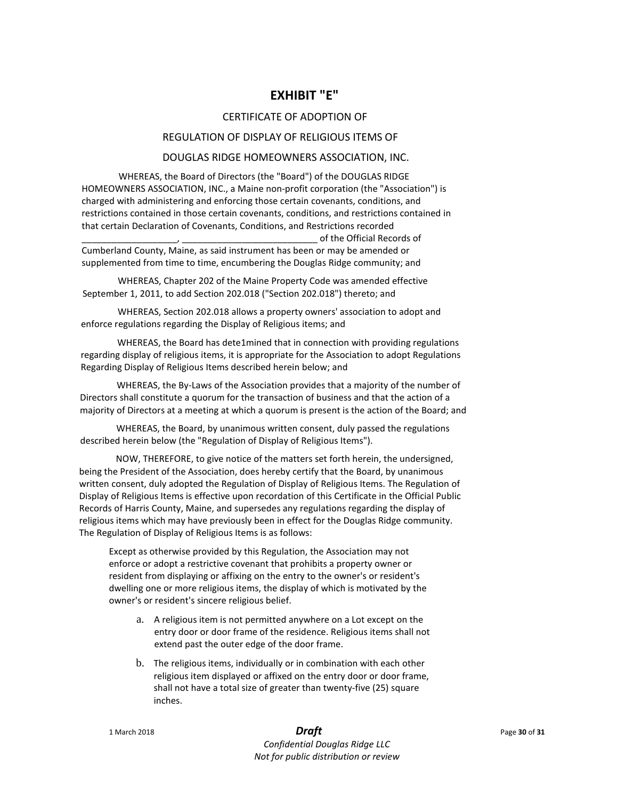# **EXHIBIT "E"**

### CERTIFICATE OF ADOPTION OF

### REGULATION OF DISPLAY OF RELIGIOUS ITEMS OF

### DOUGLAS RIDGE HOMEOWNERS ASSOCIATION, INC.

WHEREAS, the Board of Directors (the "Board") of the DOUGLAS RIDGE HOMEOWNERS ASSOCIATION, INC., a Maine non-profit corporation (the "Association") is charged with administering and enforcing those certain covenants, conditions, and restrictions contained in those certain covenants, conditions, and restrictions contained in that certain Declaration of Covenants, Conditions, and Restrictions recorded \_\_\_\_\_\_\_\_\_\_\_\_\_\_\_\_\_\_\_, \_\_\_\_\_\_\_\_\_\_\_\_\_\_\_\_\_\_\_\_\_\_\_\_\_\_\_ of the Official Records of

Cumberland County, Maine, as said instrument has been or may be amended or supplemented from time to time, encumbering the Douglas Ridge community; and

WHEREAS, Chapter 202 of the Maine Property Code was amended effective September 1, 2011, to add Section 202.018 ("Section 202.018") thereto; and

WHEREAS, Section 202.018 allows a property owners' association to adopt and enforce regulations regarding the Display of Religious items; and

WHEREAS, the Board has dete1mined that in connection with providing regulations regarding display of religious items, it is appropriate for the Association to adopt Regulations Regarding Display of Religious Items described herein below; and

WHEREAS, the By-Laws of the Association provides that a majority of the number of Directors shall constitute a quorum for the transaction of business and that the action of a majority of Directors at a meeting at which a quorum is present is the action of the Board; and

WHEREAS, the Board, by unanimous written consent, duly passed the regulations described herein below (the "Regulation of Display of Religious Items").

NOW, THEREFORE, to give notice of the matters set forth herein, the undersigned, being the President of the Association, does hereby certify that the Board, by unanimous written consent, duly adopted the Regulation of Display of Religious Items. The Regulation of Display of Religious Items is effective upon recordation of this Certificate in the Official Public Records of Harris County, Maine, and supersedes any regulations regarding the display of religious items which may have previously been in effect for the Douglas Ridge community. The Regulation of Display of Religious Items is as follows:

Except as otherwise provided by this Regulation, the Association may not enforce or adopt a restrictive covenant that prohibits a property owner or resident from displaying or affixing on the entry to the owner's or resident's dwelling one or more religious items, the display of which is motivated by the owner's or resident's sincere religious belief.

- a. A religious item is not permitted anywhere on a Lot except on the entry door or door frame of the residence. Religious items shall not extend past the outer edge of the door frame.
- b. The religious items, individually or in combination with each other religious item displayed or affixed on the entry door or door frame, shall not have a total size of greater than twenty-five (25) square inches.

# 1 March 2018 *Draft* Page **<sup>30</sup>** of **<sup>31</sup>**

*Confidential Douglas Ridge LLC Not for public distribution or review*